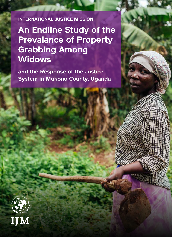#### **INTERNATIONAL JUSTICE MISSION**

### **An Endline Study of the Prevalance of Property Grabbing Among Widows**

**and the Response of the Justice System in Mukono County, Uganda**

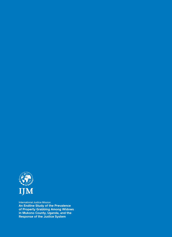

International Justice Mission **An Endline Study of the Prevalence of Property Grabbing Among Widows in Mukono County, Uganda, and the Response of the Justice System**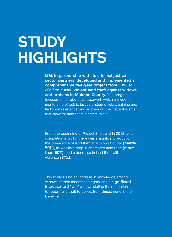# **STUDY HIGHLIGHTS**

**IJM, in partnership with its criminal justice sector partners, developed and implemented a comprehensive five-year project from 2012 to 2017 to curtail violent land theft against widows and orphans in Mukono County.** The program focused on collaborative casework which allowed for mentorship of public justice system officials, training and technical assistance, and addressing the cultural norms that allow for land theft in communities

From the beginning of Project Empaanyi in 2012 to its completion in 2017, there was a significant reduction in the prevalence of land theft in Mukono County **(nearly 50%),** as well as a drop in attempted land theft **(more than 50%),** and a decrease in land theft with violence **(37%)**.

This study found an increase in knowledge among widows of their inheritance rights, and a **significant increase to 21%** of widows stating their intention to report land theft to police, from almost none in the baseline.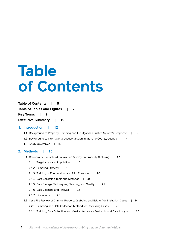# **Table of Contents**

**Table of Contents | 5 Table of Tables and Figures | 7 Key Terms | 9 Executive Summary | 10**

#### **1. Introduction | 12**

- 1.1 Background to Property Grabbing and the Ugandan Justice System's Response | 13
- 1.2 Background to International Justice Mission in Mukono County, Uganda | 14
- 1.3 Study Objectives | 14

#### **2. Methods | 16**

- 2.1 Countywide Household Prevalence Survey on Property Grabbing | 17
	- 2.1.1 Target Area and Population | 17
	- 2.1.2 Sampling Strategy | 18
	- 2.1.3 Training of Enumerators and Pilot Exercises | 20
	- 2.1.4 Data Collection Tools and Methods | 20
	- 2.1.5 Data Storage Techniques, Cleaning, and Quality | 21
	- 2.1.6 Data Cleaning and Analysis | 22
	- 2.1.7 Limitations | 22
- 2.2 Case File Review of Criminal Property Grabbing and Estate Administration Cases | 24
	- 2.2.1 Sampling and Data Collection Method for Reviewing Cases | 25
	- 2.2.2 Training, Data Collection and Quality Assurance Methods, and Data Analysis | 26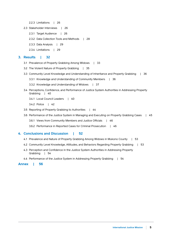- 2.2.3 Limitations | 26
- 2.3 Stakeholder Interviews | 26
	- 2.3.1 Target Audience | 26
	- 2.3.2 Data Collection Tools and Methods | 28
	- 2.3.3 Data Analysis | 29
	- 2.3.4 Limitations | 29

#### **3. Results | 32**

- 3.1 Prevalence of Property Grabbing Among Widows | 33
- 3.2 The Violent Nature of Property Grabbing | 35
- 3.3 Community Level Knowledge and Understanding of Inheritance and Property Grabbing | 36
	- 3.3.1 Knowledge and Understanding of Community Members | 36
	- 3.3.2 Knowledge and Understanding of Widows | 37
- 3.4 Perceptions, Confidence, and Performance of Justice System Authorities in Addressing Property Grabbing | 40
	- 3.4.1 Local Council Leaders | 40
	- 3.4.2 Police | 42
- 3.5 Reporting of Property Grabbing to Authorities | 44
- 3.6 Performance of the Justice System in Managing and Executing on Property Grabbing Cases | 45
	- 3.6.1 Views from Community Members and Justice Officials | 46
	- 3.6.2 Performance in Reported Cases for Criminal Prosecution | 46

#### **4. Conclusions and Discussion | 52**

- 4.1 Prevalence and Nature of Property Grabbing Among Widows in Mukono County | 53
- 4.2 Community Level Knowledge, Attitudes, and Behaviors Regarding Property Grabbing | 53
- 4.3 Perception and Confidence in the Justice System Authorities in Addressing Property Grabbing | 54
- 4.4 Performance of the Justice System in Addressing Property Grabbing | 54

#### **Annex | 56**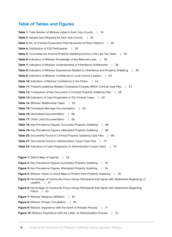#### **Table of Tables and Figures**

**Table 1:** Total Number of Widows Listed in Each Sub-County | 19 **Table 2:** Sample Size Required for Each Sub-County | 20 Table 3: No. of Criminal Prosecution Files Reviewed at Police Stations | 25 **Table 4:** Distribution of FGD Participants | 28 **Table 5:** Circumstances Around Property Grabbing Events in the Last Two Years | 35 **Table 6:** Indicators of Widows' Knowledge of the Relevant Laws | 38 **Table 7:** Indicators of Widows' Understanding of Inheritance Entitlements | 38 **Table 8:** Indicators of Widows' Experiences Related to Inheritance and Property Grabbing | 39 **Table 9:** Indicators of Widows' Confidence in Local Council Leaders | 40 **Table 10:** Indicators of Widows' Confidence in the Police | 42 **Table 11:** Property grabbing Related Complaints/Charges Within Criminal Case Files | 47 **Table 12:** Comparison of Key Document in Criminal Property Grabbing Files | 48 **Table 13:** Indicators of Case Progression in PG Criminal Cases | 49 Table 14: Widows' Relationship Types | 63 Table 15: Formalized Marriage Documentation | 63 **Table 16:** Homestead Documentation | 66 **Table 17: Other Land Documentation | 66 Table 18:** Key Prevalence Figures, Successful Property Grabbing | 68 **Table 19:** Key Prevalence Figures, Attempted Property Grabbing | 69 **Table 20:** Documents Found in Criminal Property Grabbing Case Files | 69 **Table 21:** Documents Found in Administration Cause Case Files | 73 **Table 22:** Indicators of Case Progression in Administration Cause Cases | 74 **Figure 1:** District Map of Uganda | 18 **Figure 2:** Key Prevalence Figures, Successful Property Grabbing | 34 **Figure 3:** Key Prevalence Figures, Attempted Property Grabbing | 34 **Figure 4:** Widows' Views on Good Ways to Protect from Property Grabbing | 39 **Figure 5:** Percentage of Community Focus Group Participants that Agree with Statements Regarding LC Leaders | 41 **Figure 6:** Percentage of Community Focus Group Participants that Agree with Statements Regarding Police | 43 **Figure 7:** Widows' Religious Affiliation | 64 **Figure 8:** Widows' Primary Occupation | 65 **Figure 9:** Widows' Experience with the Grant of Probate Process | 71 **Figure 10:** Widows' Experience with the Letter of Administration Process | 72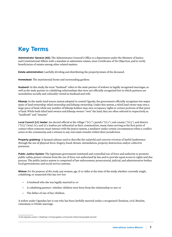### **Key Terms**

**Administrator General (AG):** The Administrator General's Office is a department under the Ministry of Justice and Constitutional Affairs with a mandate to administer estates, issue Certificates of No Objection, and to verify beneficiaries of estates among other related matters.

**Estate administration:** Lawfully dividing and distributing the property/estate of the deceased.

**Homestead:** The matrimonial home and surrounding gardens.

**Husband:** In this study, the term "husband" refers to the male partner of widows in legally recognized marriages, as well as the male partner in cohabiting relationships that were not officially recognized but in which partners are nonetheless socially and culturally viewed as husband and wife.

**Kibanja:** In the mailo land tenure system adopted in central Uganda, the government officially recognizes two major types of land ownership: titled ownership and kibanja ownership. Under this system, a titled land owner may own a large piece of land, while any number of kibanja holders may own occupancy rights to certain portions of that piece of land. While both titled land owners and kibanja owners "own" the land, they are often referred to respectively as "landlords" and "tenants."

**Local Council (LC) leader:** An elected official at the village ("LC1"), parish ("LC2"), sub-county ("LC3"), and district ("LC5") level. LC1 and LC2 leaders are influential in their communities, many times serving as the first point of contact when someone must interact with the justice system, a mediator under certain circumstances when a conflict arises in the community, and a witness to any real estate transfer within their jurisdiction.

**Property grabbing:** A layman's phrase used to describe the unlawful and coercive eviction of lawful landowners through the use of physical force, forgery, fraud, threats, intimidation, property destruction, and/or collective pressures.

**Public Justice System:** The legitimate government-instituted and controlled use of force and authority to promote public safety, protect citizens from the use of force not authorized by law, and to provide equal access to rights and due process. The public justice system is comprised of law enforcement; prosecutorial, judicial, and administrative bodies; local governments; and social service systems.

**Widow:** *For the purposes of this study*, any woman, age 18 or older at the time of the study, whether currently single, cohabiting, or remarried who has *ever lost*:

- **•** A husband who she was legally married to; or
- A cohabiting partner<sup>1</sup>, whether children were born from the relationship or not; or
- **•** The father of one of her children.

A widow under Ugandan law is one who has been lawfully married under a recognized Christian, civil, Muslim, customary, or Hindu marriage.

<sup>1</sup> In the Ugandan context, "cohabiting" is living together, as if married, without being legally married.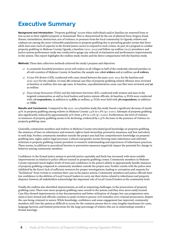### **Executive Summary**

**Background and Introduction:** "Property grabbing" occurs when individuals and/or families are removed from or lose access to their rightful property or homestead. This is characterized by the use of physical force, forgery, fraud, threats, intimidation, destruction, acts of violence, or pressure from the local community. In Uganda, widows and orphans are among the most vulnerable populations to property grabbing due to prevailing gender norms that favor adult men and a lack of capacity in the formal justice sector to respond to such crimes. As part of a program to combat property grabbing in Mukono County, Uganda, a baseline (2012–2013) and follow-up endline (2017) prevalence and justice system performance study was conducted to gauge any reduced victimization and performance improvements in the system. This report highlights the endline study results and the direct comparisons with the baseline study.

**Methods:** Three data collection methods achieved the study's purpose and objectives:

- 1) A *countywide household prevalence survey with widows* in all villages in half of the randomly selected parishes in all sub-counties of Mukono County. At baseline, the sample was **1,806 widows** and at endline, **2,018 widows**.
- 2) A *Case File Review* (CFR), conducted with cases closed between the years 2010–2012 for the baseline and 2010–2017 for the endline. In total, **68** criminal case files of property-grabbing related offenses were reviewed at baseline; at endline, this was **156** cases. At baseline, **119** administration cause case files were reviewed, and **96** at endline.
- 3) *Focus Group Discussions (FGDs) and Key Informant Interviews (KII)*, conducted with women and men in the targeted communities, as well as local leaders and justice system officials. At baseline, 13 FGDs were conducted with 1**18 respondents**, in addition to **13 KIIs**; at endline, 41 FGDs were held with **387 respondents**, in addition to **7 KIIs**.

**Results and Conclusions:** Compared to the 2012–2013 baseline study, this study found a significant decrease of nearly 50% in property grabbing among widows in Mukono County: 3.5% to 1.8% (p ≤ 0.001). Attempts of property grabbing also significantly reduced by approximately 50% from 4.8% to 2.3% (p  $\leq$  0.001). Furthermore, the level of violence in instances of property grabbing seems to be declining, evidenced by a 37% decrease in the presence of violence in property grabbing cases.

Generally, community members and widows in Mukono County articulated good knowledge on property grabbing, the existence of laws on inheritance and women's right to land ownership, preventive measures, and how and where to seek help. Further, community members outside the project area had less comprehensive knowledge on property grabbing laws, rights, and/or legal processes. Cultural and gender norms favoring male inheritance and informal solutions to property grabbing remain prevalent in women's understanding and experiences of inheritance practices. These norms, in addition to procedural barriers to prevention measures negatively impact the potential for change in behavior among community members.

Confidence in the formal justice system to provide justice equitably and fairly has increased, with more notable improvements in relation to police officers trained in property grabbing crimes. Community members in Mukono County expressed much higher levels of trust and confidence in the police's ability to appropriately handle instances of property grabbing compared to community members outside the project area. Further results with the police were inhibited by the force's lack of sufficient resources for proper investigations, leading to corruption and requests for "facilitation" from victims to continue their case in the justice system. Community members and justice officials have low confidence in the abilities of Local Council leaders to carry out their duties related to inheritance and property disputes; however, all stakeholders acknowledge the important role of Local Council leaders at the community level.

Finally, the endline also identified improvements, as well as remaining challenges, in the prosecution of property grabbing cases. There were more property grabbing cases overall in the system, and they were more easily located. Case files showed improvements in key documentation and better utilization of charges, but case progression rates seem to have slowed and officials continue to push victims to pursue civil remedies over criminal prosecution, despite the case being criminal in nature. While knowledge, confidence, and some engagement has improved, community members still view the system as difficult to access for the common person due to costs, lengthy timeframes for cases, language barriers, and limited protections for the large percentage of widows who are in relationships outside a formal marriage.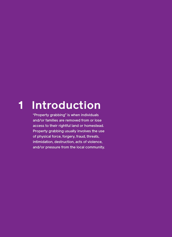# **1 Introduction**

"Property grabbing" is when individuals and/or families are removed from or lose access to their rightful land or homestead. Property grabbing usually involves the use of physical force, forgery, fraud, threats, intimidation, destruction, acts of violence, and/or pressure from the local community.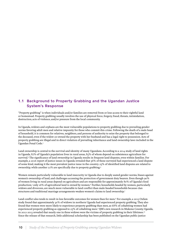#### **1.1 Background to Property Grabbing and the Ugandan Justice System's Response**

"Property grabbing" is when individuals and/or families are removed from or lose access to their rightful land or homestead. Property grabbing usually involves the use of physical force, forgery, fraud, threats, intimidation, destruction, acts of violence, and/or pressure from the local community.

In Uganda, widows and orphans are the most vulnerable populations to property grabbing due to prevailing gender norms favoring adult men and relative impunity for those who commit this crime. Following the death of a male head of household, it is common for relatives, neighbors, and persons of authority to seize the property that belonged to the deceased, even if the widow co-owned the property with her husband and has a legal right to possession. Acts of property grabbing are illegal and in direct violation of prevailing inheritance and land ownership laws included in the Ugandan Penal Code.<sup>2</sup>

Land ownership is central to the survival and identity of many Ugandans. According to a 2014 study of land rights in Uganda, 87% of Uganda's population lives in rural areas, 85% of whom depend on subsistence agriculture for survival.3 The significance of land ownership in Uganda results in frequent land disputes, even within families. For example, a 2016 report of justice issues in Uganda revealed that 36% of those surveyed had experienced a land dispute of some kind, making it the most prevalent justice issue in the country. 25% of identified land disputes are related to ownership, while another 22% are specifically due to property grabbing.4

Women remain particularly vulnerable to land insecurity in Uganda due to deeply seated gender norms, biases against women's ownership of land, and challenges accessing the protection of government duty bearers. Even though 90% of women living in rural areas depend on agriculture and are responsible for approximately 80% of Uganda's food production,5 only 16% of agricultural land is owned by women.6 Further, households headed by women, particularly widows and divorcees, are much more vulnerable to land conflict than male-headed households because clan structures and traditional marriage arrangements weaken women's claims to land ownership.7

Land conflict also tends to result in less favorable outcomes for women than for men.<sup>8</sup> For example, a 2013 Oxfam study found that approximately 30% of widows in northern Uganda had experienced property grabbing. They also found that women were more likely to experience property grabbing than men, as 68% of cohabiting women had experienced property grabbing as opposed to 25% of cohabiting men.9 IJM's own research in Mukono County, Uganda, in 2012-2013 revealed that nearly one in three widows were the victims of property grabbing in their lifetimes.<sup>10</sup> Since the release of that research, little additional scholarship has been published on the Ugandan public justice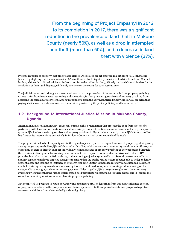From the beginning of Project Empaanyi in 2012 to its completion in 2017, there was a significant reduction in the prevalence of land theft in Mukono County (nearly 50%), as well as a drop in attempted land theft (more than 50%), and a decrease in land theft with violence (37%).

system's response to property-grabbing related crimes. One related report emerged in 2016 from HiiL Innovating Justice, highlighting that the vast majority (82%) of those in land disputes primarily seek advice from Local Council leaders, while only 32% seek advice or information from the police. Further, 78% rely on Local Council leaders for the resolution of their land disputes, while only 21% rely on the courts for such resolution.<sup>11</sup>

The judicial system and other government entities vital to the protection of the vulnerable from property grabbing crimes suffer from inadequate resourcing and corruption, further preventing survivors of property grabbing from accessing the formal justice system. Among respondents from the 2017 East Africa Bribery Index, 54% reported that paying a bribe was the only way to access the services provided by the police, judiciary, and land services.<sup>12</sup>

#### **1.2 Background to International Justice Mission in Mukono County, Uganda**

International Justice Mission (IJM) is a global human rights organization that protects the poor from violence by partnering with local authorities to rescue victims, bring criminals to justice, restore survivors, and strengthen justice systems. IJM has been assisting survivors of property grabbing in Uganda since the early 2000s. IJM's Kampala office has focused its interventions exclusively in Mukono County, a rural county outside of Kampala.

The program aimed to build capacity within the Ugandan justice system to respond to cases of property grabbing using a two-pronged approach. First, IJM collaborated with police, public prosecutors, community development officers, and other duty bearers to directly support individual victims and cases of property grabbing as they progressed through the criminal justice system. By working hand-in-hand to deliver justice to individual survivors of violence, IJM provided both classroom and field training, and mentoring to justice system officials. Second, government officials and IJM together employed targeted strategies to ensure that the public justice system is better able to independently prevent, deter, and respond to instances of property grabbing. Strategies included intensive and extended classroom and field trainings using actual cases as learning tools, curriculum development, coaching and mentoring on live cases, media campaigns, and community engagement. Taken together, IJM's program sought to (1) deter property grabbing by ensuring that the justice system would hold perpetrators accountable for their crimes and (2) reduce the overall vulnerability of widows and orphans to property grabbing.

IJM completed its program in Mukono County in September 2017. The learnings from this study informed the endof-program evaluation on the program and will be incorporated into the organization's future programs to protect women and children from violence in Uganda and globally.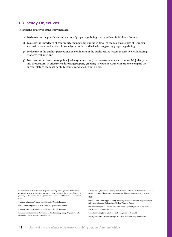#### **1.3 Study Objectives**

The specific objectives of the study included:

- 1) To determine the prevalence and nature of property grabbing among widows in Mukono County;
- 2) To assess the knowledge of community members (including widows) of the basic principles of Ugandan succession law as well as their knowledge, attitudes, and behaviors regarding property grabbing;
- 3) To document the public's perception and confidence in the public justice system in effectively addressing property grabbing; and
- 4) To assess the performance of public justice system actors (local government leaders, police, AG, judges/courts, and prosecutors) in effectively addressing property grabbing in Mukono County, in order to compare the current state to the baseline study results conducted in 2012–2013.

7 Adelman, S., & Peterman, A. (2014). Resettlement and Gender Dimensions of Land Rights in Post-Conflict Northern Uganda. World Development, 64(C), 583–596. 8Ibid.

9Burke, C., and Kobusingye, D. (2013). Securing Women's Land and Property Rights in Northern Uganda, Oxfam. Unpublished Working Paper.

<sup>2</sup> International Justice Mission, Property Grabbing from Ugandan Widows and the Justice System Response (2014). More information on the nature of property grabbing and relevant laws in Uganda can be found in IJM's initial 2014 research study.

<sup>3</sup> Hannay, L. (2014). Women's Land Rights in Uganda. Landesa.

<sup>4</sup>HiiL Innovating Justice, Justice Needs in Uganda 2016 (2016).

<sup>5</sup> Hannay, L. (2014). Women's Land Rights in Uganda. Landesa.

<sup>6</sup>Gender, Institutions and Development Database 2014. (2014). Organisation for Economic Cooperation and Development.

<sup>&</sup>lt;sup>10</sup>International Justice Mission, Property Grabbing from Ugandan Widows and the Justice System Response (2014).

<sup>&</sup>lt;sup>11</sup>HiiL Innovating Justice, Justice Needs in Uganda 2016 (2016).

<sup>&</sup>lt;sup>12</sup>Transparency International Kenya, et al., East Africa Bribery Index (2017).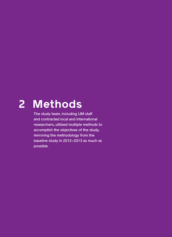## **2 Methods**

The study team, including IJM staff and contracted local and international researchers, utilized multiple methods to accomplish the objectives of the study, mirroring the methodology from the baseline study in 2012–2013 as much as possible.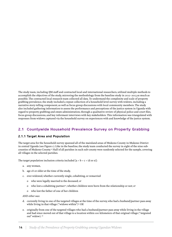The study team, including IJM staff and contracted local and international researchers, utilized multiple methods to accomplish the objectives of the study, mirroring the methodology from the baseline study in 2012–2013 as much as possible. The contracted local research team collected all data. To understand the complexity and scale of property grabbing prevalence, the study included a repeat collection of a household-level survey with widows, including a narrative story-telling component, as well as focus group discussions with local community members. The study also included gathering information to assess the performance and perceptions of the justice system in Uganda with regard to property grabbing and estate administration, through a qualitative review of physical police and court files, focus group discussions, and key informant interviews with key stakeholders. This information was triangulated with responses from widows captured via the household survey on experiences with and knowledge of the justice system.

#### **2.1 Countywide Household Prevalence Survey on Property Grabbing**

#### **2.1.1 Target Area and Population**

The target area for the household survey spanned all of the mainland areas of Mukono County in Mukono District in central Uganda (see Figure 1). Like in the baseline, the study team conducted the survey in eight of the nine subcounties of Mukono County.13 Half of all parishes in each sub-county were randomly selected for the sample, covering all villages in the selected parishes.

The target population inclusion criteria included  $[a + b + c + (d \text{ or } e)]$ :

- a. any woman,
- b. age 18 or older at the time of the study,
- c. ever widowed, whether currently single, cohabiting, or remarried
	- o who were legally married to the deceased; *or*
	- o who lost a cohabiting partner14, whether children were born from the relationship or not; *or*
	- o who lost the father of one of her children

*AND either was:*

- d. currently living in one of the targeted villages at the time of the survey, who had a husband/partner pass away while living in that village ("widows within")15 *OR*
- e. originally from one of the targeted villages who had a husband/partner pass away while living in the village and had since moved out of that village to a location within 100 kilometers of that original village ("migrated out" widow). 16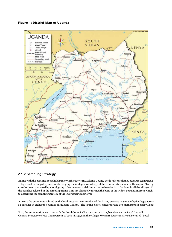**Figure 1: District Map of Uganda**



#### **2.1.2 Sampling Strategy**

In line with the baseline household survey with widows in Mukono County, the local consultancy research team used a village-level participatory method, leveraging the in-depth knowledge of the community members. This repeat "listing exercise" was conducted by a local group of enumerators, yielding a comprehensive list of widows in all the villages of the parishes selected in the sampling frame. This list ultimately formed the basis of the widow population from which to determine the sampling strategy at the individual widow level.

A team of 15 enumerators hired by the local research team conducted the listing exercise in a total of 176 villages across 24 parishes in eight sub-counties of Mukono County.<sup>17</sup> The listing exercise incorporated two main steps in each village:

First, the enumeration team met with the Local Council Chairperson, or in his/her absence, the Local Council General Secretary or Vice Chairpersons of each village, and the village's Women's Representative (also called "Local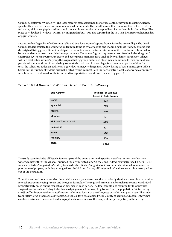Council Secretary for Women"18). The local research team explained the purpose of the study and the listing exercise specifically, as well as the definition of *widow* used in the study. The Local Council Chairman was then asked to list the full name, nickname, physical address, and contact phone number, where possible, of all widows in his/her village. The place of widowhood (widows "within" or "migrated in/out") was also captured in the list. This first step resulted in a list of 3,588 women.

Second, each village's list of widows was validated by a local women's group from within the same village. The Local Council leaders assisted the enumeration team in doing so by contacting and mobilizing these women's groups, but the original listing group did not participate in the validation exercise. A minimum of three to five members had to be in attendance to meet the validation requirements. The women's group representatives often included the group's chairperson, vice chairperson, treasurer, and other group members for a total of five validators. For the few villages with no established women's group, the original listing group mobilized older men and women (a maximum of five people, with at least three of those being women) who had lived in the village for an extended period of time. In total, the validators added an additional 655 widow names, yielding a final widow listing of 4,382 names. (See Table 1 below for the number of widows originally listed, by sub-county.) Both the participating local leaders and community members were reimbursed for their time and transportation to and from the meeting place.19

| Sub-County                 | <b>Total No. of Widows</b><br><b>Listed in Sub-County</b> |
|----------------------------|-----------------------------------------------------------|
| Goma                       | 693                                                       |
| Kyampisi                   | 713                                                       |
| <b>Mpatta</b>              | 419                                                       |
| Mpunge                     | 194                                                       |
| <b>Mukono Town Council</b> | 495                                                       |
| Nakisunga                  | 697                                                       |
| Nama                       | 612                                                       |
| Ntenjeru                   | 559                                                       |
| <b>TOTAL</b>               | 4,382                                                     |

#### Table 1: Total Number of Widows Listed in Each Sub-County

The study team included all listed widows as part of the population, with specific classifications on whether they were "widows within" the village, "migrated in," or "migrated out." Of the 4,382 widows originally listed,  $6\%$  (n = 262) were classified as "migrated in" and 2.7% (n =118) classified as "migrated out." As the study intended to measure the prevalence of property grabbing among widows in Mukono County, all "migrated in" widows were subsequently taken out of the population.

From this reduced population size, the study's data analyst determined the statistically significant sample size required for each sub-county using Krejcie and Morgan's formula.20 The required sample size for each sub-county was divided proportionally based on the respective widow size in each parish. The total sample size required for the study was 2,046 widow interviews. Using R, the data analyst generated the sampling frame from the population list, including a 30% buffer for potential misclassification, inability to locate, or unwillingness or inability to participate. The study team interviewed a total of 2,017 widows. See Table 2 for a breakdown by sub-county of sample and actual interviews conducted. Annex B describes the demographic characteristics of the 2,017 widows participating in the survey.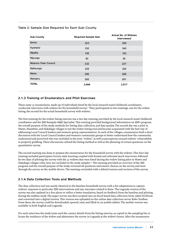| Sub-County                 | <b>Required Sample Size</b> | <b>Actual No. of Widows</b><br><b>Interviewed</b> |
|----------------------------|-----------------------------|---------------------------------------------------|
| Goma                       | 323                         | 309                                               |
| Kyampisi                   | 332                         | 340                                               |
| Mpatta                     | 195                         | 183                                               |
| Mpunge                     | 92                          | 92                                                |
| <b>Mukono Town Council</b> | 232                         | 227                                               |
| Nakisunga                  | 325                         | 325                                               |
| Nama                       | 285                         | 280                                               |
| Ntenjeru                   | 262                         | 261                                               |
| <b>TOTAL</b>               | 2,046                       | 2,017                                             |

#### Table 2: Sample Size Required for Each Sub-County

#### **2.1.3 Training of Enumerators and Pilot Exercises**

These same 15 enumerators, made up of individuals hired by the local research team's fieldwork coordinator, conducted interviews with widows for the household survey.<sup>21</sup> They participated in two trainings, one for the widow listing, the second for the actual household survey with widows.

The first training for the widow listing exercise was a two-day training, provided by the local research team's fieldwork coordinator and the IJM Kampala M&E Specialist. This training provided background information on IJM's program, the overall purpose of the study, methods for listing, data collection, and data quality. The second day was a pilot in Ntawo, Nsambwe, and Nakabago villages to test the widow listing tool and become acquainted with the best way of addressing Local Council leaders and women's group representatives. In each of the villages, enumerators held a short discussion with the Local Council leaders and women's community groups to better understand how the community understood and perceived who was included in the term "widow," as well as perceptions around widows' vulnerability to property grabbing. These discussions refined the listing method as well as the phrasing of certain questions on the quantitative survey.

The second training was done to prepare the enumerators for the household survey with the widows. This four-day training included participator lecture-style learning coupled with formal and informal mock interviews, followed by two days of piloting the survey with the 32 widows that were listed during the widow listing pilot in Ntawo and Nakabago villages (who were not included in the study sample).22 The training provided an overview of the IJM program and the overall purpose of the study, reviewed all questions and answer choices on the survey, and went through the survey on the mobile device. The training concluded with a debrief session and revision of the survey.

#### **2.1.4 Data Collection Tools and Methods**

The data collection tool was nearly identical to the baseline household survey, with a few adaptations to capture widows' exposure to particular IJM interventions and any outcomes related to these. The Luganda version of the survey was also updated in a few places to reflect a better translation, based on feedback from the baseline and piloting during the endline study. The paper survey was then scripted into an Excel-based data collection form called XLSForm and converted into a digital version. This version was uploaded on the online data collection server Kobo Toolbox. From there, the survey could be downloaded, opened, read, and filled in on mobile tablets. The mobile version was available in both English and Luganda.

For each interview, the study team used the contact details from the listing exercise, as copied in the sampling list, to locate the residence of the widow and administer the survey in Luganda at the widow's house. After the enumerator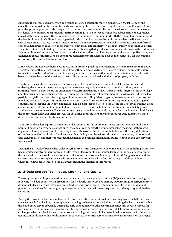explained the purpose of his/her visit and gained informed consent through a signature on the tablet, he or she asked the widow to describe where she was born, how long she lived there, and why she moved from that place. Using provided prompt questions, this "story map" narrative continued organically until the widow discussed her current residence. The enumerator captured this narrative in English in a notebook, which was subsequently photographed as part of the mobile survey. The enumerator used this story map to build rapport with the respondent, to understand the details of the widow's life and marriage/relationship from her perspective, and conduct data quality assurance with the quantitative survey. The full interaction with the survey participant included an introduction and informed consent, a handwritten collection of the widow's "story map," and an interview using the survey on the mobile device. The entire interaction lasted 1.5–2.0 hours on average. Total length depended on how much information the widow was able to recall, as well as the number of husbands the widow had lost and her respective land ownership. The survey was designed to capture information on up to three relationships with deceased husbands. See Annex C for information on accessing the survey data collection tool.

Many widows did not view themselves as victims of property grabbing or understand their circumstance in that way. Therefore, rather than directly asking the widows if they had been victims of property grabbing, enumerators were trained to assess the widow's responses to a variety of different scenarios that would demonstrate whether she had been victimized by any of the various crimes in Uganda's laws associated with the act of property grabbing.

The study team conducted data collection from September 14 to October 21, 2017. Once data collection was fully underway, the enumeration team attempted to interview every widow who was a part of the randomly selected sampling frame. In cases where the enumerators determined that the widow (1) had actually migrated into the village after her husband's death elsewhere, (2) had migrated more than 100 kilometers away, (3) was deceased, (4) refused to participate, (5) did not speak the languages of the enumerators (English or Luganda), (6) was admitted to the hospital for a long period of time, (7) was unknown to the Local Council leaders or community representative assisting the enumerators in locating the widow's homes, (8) had no clear location listed in the listing tool, or (9) was wrongly listed as a widow when she was not or did not identify herself in this way, the fieldwork coordinator immediately provided an alternate name to interview. For any other reason (e.g., the widow was working, away from the home, at a burial, etc.), the enumerators followed a strict protocol for obtaining a substitution; only after three separate attempts on three different days would a substitution be authorized.

To ensure the broadest capture of Mukono's widow population, the enumerators used an additional method at the point of household survey data collection. At the end of each survey, the enumerator asked the widow if there were any women living or staying on her property or was otherwise within her household that met the study definition of a widow. A total of 27 additional widows were identified by sampled widows throughout the entirety of household data collection. The enumerators recorded their names and contact information, but no widows in this category were interviewed.

During the last week of survey data collection, the survey team focused on widows included in the sampling frame who had migrated away from their homes in the targeted villages after the husband's death, with the goal of determining the rate at which they would be able to successfully locate these women. In total, 59 of the 118 "migrated out" widows were included in the sample for data collection. Enumerators were able to find and survey 28 of these widows, all of whose interviews are included in the data presented in the findings of this report.

#### **2.1.5 Data Storage Techniques, Cleaning, and Quality**

The study design and implementation incorporated various data quality assurance (DQA) methods both during and following field data collection. In preparation for fieldwork, there were two primary DQA techniques. First, the survey design included an already-tested instrument, which was verified again with new enumerators and a subsequent pilot test with widows. Second, eligibility as an enumerator included a necessary track record of quality work in data collection.

During the survey, the local research team's fieldwork coordinator monitored the incoming data on a daily basis and was responsible for checking the completeness and logic of survey answers before uploading the data to Kobo Toolbox, the cloud-based server. Especially during the early days of fieldwork, the coordinator randomly checked surveys for inconsistencies in the answers given. Further, during debrief sessions each morning of data collection, enumerators exchanged tablets to check for consistent flow and that logical answer choices were filled in to meet the instituted data quality standards before they could submit the surveys to the central server. For surveys with inconsistent or illogical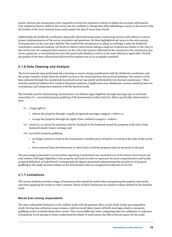answer choices, the enumerators were required to revisit the respective widows to obtain the accurate information. One validation feature added to the survey was the inability to change data after submitting a survey to the server. Only the leaders of the local research team could update the data if errors were found.

Additionally, the fieldwork coordinator physically observed enumerators conducting surveys with widows to ensure proper implementation of the survey procedure and questions. He then highlighted any issues to the entire group of enumerators in the next day's debrief. This enabled the enumerators to adjust accordingly. Lastly, the fieldwork coordinator conducted random call-backs to widows interviewed, asking a small set of questions similar to the ones in the survey tool. He compared their answers on the call to the answers obtained by the enumerator for consistency. Any errors, questions, or inconsistencies were discussed individually, as well as in the team debrief, as applicable. Overall, the quality of the data collected and delivered for analysis was of an acceptable standard.

#### **2.1.6 Data Cleaning and Analysis**

The local research team performed data cleaning to ensure strong coordination with the fieldwork coordinator and the proper transfer of data from the mobile surveys to the cloud and then into an Excel database. The analysis of the data collected through the countywide household survey was jointly performed by two external statisticians.<sup>23</sup> They used the statistical software R to conduct frequency analyses, complicated cross-tabulations, various statistical tests for correlations, and comparison statistics with the baseline study.

The formula used for determining victimization is as follows: legal eligibility through marriage type (i) and land ownership (ii) + successful property grabbing of the homestead or other land (iii). More specifically, widows had to have:

- (i) a legal right to:
	- **•** inherit the property through a legally recognized marriage (category 1 widow) or
	- **•** occupy the property through the rights of her children (category 2 widow);
- (ii) owned or co-owned the property with her husband or her husband owned the property at the time of the husband's death (versus renting); and
- (iii) successful property grabbing:
	- **•** no longer owned or lived on the homestead or another piece of land *in its entirety* at the time of the survey or
	- **•** been removed from the homestead or other land or had the property taken at *any* point in the past.

The percentages presented in section three regarding victimization are calculated out of all widows interviewed, not only widows with legal eligibility to the property and land, in order to represent the most comprehensive and locally accepted definition of widowhood. Consequently, the figures presented underestimate the prevalence of property grabbing as the study includes widows in the denominator that are recognized locally but not by law.

#### **2.1.7 Limitations**

The survey methods include a range of limitations that should be noted when interpreting the analysis and results and when applying the results to other contexts. Many of these limitations are similar to those defined in the baseline study.

#### **Recall bias among respondents**

The most substantial limitation in the endline study with the greatest effect on the study results was respondent recall. During data collection, many women could not recall dates (years) of birth, marriages, death, or property grabbing events or details about these events. This caused difficulty when comparing dates for validation or indicator calculations. In an attempt to better understand the depth of recall issues, the IJM technical expert for the study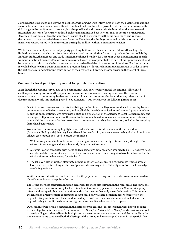compared the story maps and surveys of a subset of widows who were interviewed in both the baseline and endline surveys. In some cases, their stories differed from baseline to endline. It is possible that their experiences actually did change in the last four years; however, it is also possible that this was a mistake in recall or that women told incomplete versions of their story both at baseline and endline, so both versions may be accurate or inaccurate. Because of these possibilities, the study team was not able to determine whether the baseline or endline was the more accurate portrayal of these women's stories. Therefore, the findings presented in this report reflect the narratives widows shared with enumerators during the endline, without omission or revision.

While the estimates of prevalence of property grabbing, both successful and unsuccessful, are affected by this limitation, the main conclusions from the study are based on a recall timeframe that provides the most reliability. In future studies, the methods and study timeframe will need to allow for a more in-depth understanding of each woman's situational nuances. For any woman classified as a victim or potential victim, a follow-up interview should be required to confirm the victimization and gain more details of the circumstances of the abuse. For future studies, it would be best to plan a quasi-experimental program design with control and intervention areas in order to have the best chance at understanding contribution of the program and provide greater clarity on the weight of these biases.

#### **Community-level participatory model for population creation**

Even though the baseline survey also used a community-level participatory model, the endline still revealed challenges in its application, as the population data on widows remained uncomprehensive. The baseline survey assumed that community leaders and members knew their communities better than any other source of documentation. While this method proved to be sufficient, it was not without the following limitations:

- **•** Due to time and resource constraints, the listing exercises in each village were conducted in one day by one enumerator and relied on the memory and recall of the Local Council leaders and women's group members. While the enumeration teams gave prior notice and explanation of the exercise to Local Council leaders and exchanged cell phone numbers in the event leaders remembered more names, there were some instances where additional names of widows were given to enumerators during data collection, well after the sampling frame had been created.
- **•** Women from the community highlighted several social and cultural views about the term widow (*"namwandu"* in Luganda) that may have affected the team's ability to create a true listing of all widows in the villages (the "population" used to create the sample):
	- o Widows are pictured to be older women, so young women are not easily or immediately thought of as widows. Some younger widows vehemently deny their widowhood.
	- o A stigma is often associated with being called a widow. Widows are often assumed to be HIV positive. Also, members of the community shared that these women are sometimes thought to have been involved with witchcraft or were themselves "be-witched."
	- o The label can also inhibit an attempt to pursue another relationship. In circumstances where a woman has remarried or is seeking a relationship, some widows may not self-identify or refuse to acknowledge ever being a widow.

While these considerations could have affected the population listing exercise, only two women refused to identify as a widow at the point of survey.

- **•** The listing exercises conducted in urban areas were far more difficult than in the rural areas. The towns are more populated, and community leaders often do not know every person in the area. Community groups often could not speak about entire sections within the town, as they only knew their section. This became evident when urban women's community groups could only validate a small number of widows on the original listing for their town but also identified up to 80% more widows who were not included on the original listing. An additional community group was consulted whenever this happened.
- Duplication of widows also occurred in the listing for two reasons: (1) some women were known by some in the village by their nickname, "Namwandu [*First Name*]" or "Mama [*First Name*]"; and (2) widows moved to nearby villages and were listed in both places, as the community was not yet aware of the move. Since the same enumerators conducted both the listing and the survey and were assigned names for the parish, they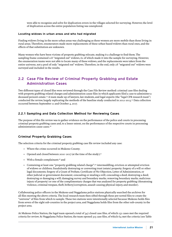were able to recognize and solve for duplication errors in the villages selected for surveying. However, the level of duplication across the entire population listing was unexplored.

#### **Locating widows in urban areas and who had migrated**

Finding widows living in the more urban areas was challenging as these women are more mobile than those living in rural areas. Therefore, enumerators made more replacements of these urban-based widows than rural ones, and the effects of that substitution are unknown.

Many women who have been victims of property grabbing relocate, making it a challenge to find them. The sampling frame contained 118 "migrated out" widows, 61 of which made it into the sample for surveying. However, the enumeration teams were not able to locate many of these widows, and the replacements were taken from the entire universe, not a pool of only "migrated out" widows. Therefore, in the end, only 28 "migrated out" widows were surveyed and included in the results.

#### **2.2 Case File Review of Criminal Property Grabbing and Estate Administration Cases**

Two different types of closed files were reviewed through the Case File Review method: criminal case files dealing with property grabbing related charges and administration cause files in which applicants filed a case to administer a deceased person's estate.<sup>24</sup> A team made up of lawyers, law students, and legal experts (the "legal CFR research team") conducted the review, largely replicating the methods of the baseline study conducted in 2012-2013.<sup>25</sup> Data collection occurred between September 11 and October 4, 2017.

#### **2.2.1 Sampling and Data Collection Method for Reviewing Cases**

The purpose of this file review was to gather evidence on the performance of the police and courts in processing criminal property grabbing cases and, to a lesser extent, on the performance of the respective courts in processing administration cause cases.26

#### **Criminal Property Grabbing Cases**

The selection criteria for the criminal property grabbing case file review included any case:

- **•** Where the crime occurred in Mukono County;
- Opened and closed between 2010-2017 (at the time of the study);<sup>27</sup>
- With a female complainant;<sup>28</sup> and
- **•** Containing at least one "property-grabbing related charge":29 intermeddling, eviction or attempted eviction of widows or children; fraudulently destroying or converting trust (estate) property; forgery of a will or other legal documents; forgery of a Grant of Probate, Certificate of No Objection, Letter of Administration, or other judicial or government document; concealing or stealing a will; concealing a deed; destroying a deed; destroying or damaging a will; damaging survey and boundary marks; removing boundary marks; malicious injury of property) or one of the complimentary charges that was analyzed for property grabbing (threatening violence, criminal trespass, theft, bribery/corruption, assault causing physical injury, and murder).

Collaborating police officers in the Mukono and Naggalama police stations physically searched the archives for all files meeting the above criteria. The local research team then sifted through these pre-sorted files to create the "universe" of files from which to sample. These two stations were intentionally selected because Mukono holds files from seven of the eight sub-counties in the project area, and Naggalama holds files from the other sub-county in the project area.

At Mukono Police Station, the legal team opened a total of 347 closed case files, of which 152 cases met the required criteria for review. At Naggalama Police Station, the team opened 315 case files, of which 64 met the criteria (see Table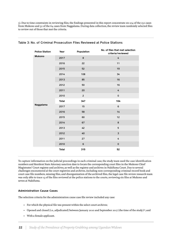3). Due to time constraints in reviewing files, the findings presented in this report concentrate on 104 of the 152 cases from Mukono and 52 of the 64 cases from Naggalama. During data collection, the review team randomly selected files to review out of those that met the criteria.

| <b>Police Station</b> | Year         | Population     | No. of files that met selection<br>criteria/reviewed |
|-----------------------|--------------|----------------|------------------------------------------------------|
| <b>Mukono</b>         | 2017         | 8              | 4                                                    |
|                       | 2016         | 22             | 11                                                   |
|                       | 2015         | 52             | 19                                                   |
|                       | 2014         | 108            | 34                                                   |
|                       | 2013         | 85             | 16                                                   |
|                       | 2012         | 50             | 16                                                   |
|                       | 2011         | 20             | 4                                                    |
|                       | 2010         | $\overline{2}$ | $\mathbf 0$                                          |
|                       | <b>Total</b> | 347            | 104                                                  |
| Naggalama             | 2017         | 15             | 6                                                    |
|                       | 2016         | 58             | 14                                                   |
|                       | 2015         | 60             | 12                                                   |
|                       | 2014         | 67             | 8                                                    |
|                       | 2013         | 42             | 5                                                    |
|                       | 2012         | 40             | 3                                                    |
|                       | 2011         | 27             | 4                                                    |
|                       | 2010         | 6              | $\mathbf 0$                                          |
|                       | <b>Total</b> | 315            | 52                                                   |

#### Table 3: No. of Criminal Prosecution Files Reviewed at Police Stations

To capture information on the judicial proceedings in each criminal case, the study team used the case identification numbers and Resident State Attorney sanction date to locate the corresponding court files in the Mukono Chief Magistrates' Court registry and archives, as well as the registry and archives in Nakifuma Court. Due to several challenges encountered at the court registries and archives, including non-corresponding criminal record book and court case file numbers, missing files, and disorganization of the archived files, the legal case file review research team was only able to trace 13 of the files reviewed at the police stations to the courts, reviewing six files at Mukono and seven at Nakifuma.

#### **Administration Cause Cases**

The selection criteria for the administration cause case file review included any case:

- **•** For which the physical file was present within the select court archives;
- **•** Opened and closed (i.e., adjudicated) between January 2010 and September 2017 (the time of the study)30; and
- **•** With a female applicant.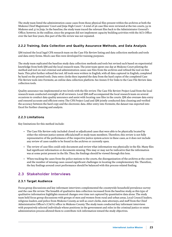The study team listed the administration cause cases from those physical files present within the archives at both the Mukono Chief Magistrates' Court and Jinja High Court.31 A total of 96 case files were reviewed at the two courts, 59 in Mukono and 37 in Jinja. In the baseline, the study team traced the relevant files back to the Administrator General's Office; however, in the endline, since the program did not implement capacity building activities with the AG's Office over the last four years, this part of the file review was not repeated.

#### **2.2.2 Training, Data Collection and Quality Assurance Methods, and Data Analysis**

IJM trained the local legal CFR research team on the Case File Review listing and data collection methods and tools and data entry forms. Mock case files were developed for training purposes.

The study team replicated the baseline study data collection methods and tools but revised each based on experiential knowledge from both IJM and the local research team. The joint team spent one day at Mukono Court piloting the method and tool on real criminal and administration cause case files from the archives and refined the tool on this basis. This pilot further refined the tool. All tools were written in English, with all data captured in English, completed by hand on the printed tools. Data entry clerks then inputted the data from the hard copies of the completed Case File Review tools into Formsite, an online data collection platform. See Annex D for links to the Case File Review data collection tools.

Quality assurance was implemented at two levels with the file review. The Case File Review Project Lead from the local research team conducted oversight of all reviewers. Local IJM staff accompanied the local research team on several occasions to conduct data quality assurance and assist with locating case files in the courts. IJM also oversaw data entry and ensured accurate and efficient entry. The CFR Project Lead and IJM jointly conducted data cleaning and verified the accuracy between the hard copy and the electronic data. After entry into Formsite, the dataset was exported into Excel for further cleaning and analysis.

#### **2.2.3 Limitations**

Key limitations for this method include:

- **•** The Case File Review only included closed or adjudicated cases that were able to be physically located by either the relevant justice system officials/staff or study team members. Therefore, this review is not fully representative of the performance of the respective justice system actors in these cases, as it does not include any review of cases unable to be found in the archives or currently open.
- **•** The review of case files could only document and review what information was physically in the file. Many files had significant information or documents missing. This may or may not be indicative that the information was at some point present in the file. Thus, the findings should be viewed through this lens.
- **•** When tracking the cases from the police stations to the courts, the disorganization of the archives at the courts and the number of missing cases caused significant challenges in locating the complementary file. Therefore, the key findings around court performance should be balanced with this process-related finding.

#### **2.3 Stakeholder Interviews**

#### **2.3.1 Target Audience**

Focus group discussions and key informant interviews complemented the countywide household prevalence survey and the case file review. The breadth of qualitative data collection increased from the baseline study, as this type of qualitative information highlights nuanced changes over time not captured by quantitative data alone. The study team held focus group discussions with groups of men and women from rural and urban areas, Local Council leaders, religious leaders, and police from Mukono County, as well as court clerks, state attorneys, and staff from the Chief Administrative Officer's (CAO's) office in Mukono County. The study team conducted key informant interviews with purposively selected individuals whose positions in the government and roles in the criminal justice or estate administration process allowed them to contribute rich information toward the study objectives.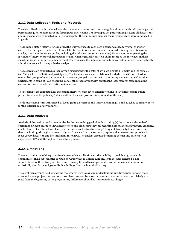#### **2.3.2 Data Collection Tools and Methods**

The data collection tools included a semi-structured discussion and interview guide, along with a brief knowledge and perceptions questionnaire for some focus group participants. IJM developed the guides in English, and all discussions and interviews were conducted in English, except for the community member focus groups, which were conducted in Luganda.

The local facilitator/interviewer explained the study purpose to each participant and asked for verbal or written consent for their participation (see Annex E for further information on how to access the focus group discussion and key informant interview guides, including the informed consent statements). Note-takers accompanying the facilitators/interviewers took rigorous notes and, when logistically possible, audio recorded the interview on their smartphones with the participants' consent. The team used the notes and audio files to create summary reports shortly after the interview for the qualitative analyst.

The research team conducted 41 focus group discussions with a total of  $387$  participants, 212 males and 175 females (see Table 4 for distribution of participants). The local research team collaborated with the Local Council leaders to mobilize groups of men and women for the focus group discussions with community members, as well as other participants in some of IJM's programs. For all other focus groups, IJM assisted the local research team in making connections with the relevant justice system actors.

The research team conducted key informant interviews with seven officials working in law enforcement, public prosecutions, and the judiciary. Table 4 outlines the exact positions interviewed for the study.

The local research team transcribed all focus group discussions and interviews in English and attached summary notes for the external qualitative analyst.

#### **2.3.3 Data Analysis**

Analysis of the qualitative data was guided by the overarching goal of understanding  $(i)$  the various stakeholders' current knowledge, attitudes, views/experiences, and practices/behaviors regarding inheritance and property grabbing, and (2) how, if at all, these have changed over time since the baseline study. The qualitative analyst determined key thematic findings through a content analysis of the data from the summary report and written transcripts of each focus group discussion and key informant interviews. The analyst discussed emerging themes and patterns with experienced IJM staff throughout the analysis process.

#### **2.3.4 Limitations**

The main limitation of the qualitative element of data collection was the inability to hold focus groups with communities in all sub-counties of Mukono County due to limited funding. Thus, the data collected is not representative of the entire project area and can only be used to complement, illustrate, or contextualize more statistically significant and generalizable findings from the household survey.

The eight focus groups held outside the project area were to assist in understanding any differences between these areas and where project interventions took place; however, because there was no baseline or case-control design in place from the beginning of the program, any differences should be interpreted accordingly.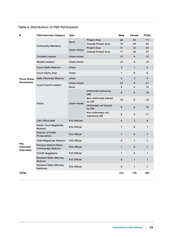#### Table 4: Distribution of FGD Participants

| #                                     | <b>FGD/Interview Category</b>                        | Type                 |                                      | <b>Male</b>     | Female       | <b>TOTAL</b> |
|---------------------------------------|------------------------------------------------------|----------------------|--------------------------------------|-----------------|--------------|--------------|
|                                       | <b>Community Members</b>                             | Rural                | Project Area                         | 48              | 63           | 111          |
|                                       |                                                      |                      | Outside Project Area                 | 19              | 25           | 44           |
|                                       |                                                      | Urban-mixed          | Project Area                         | 31              | 32           | 63           |
|                                       |                                                      |                      | Outside Project Area                 | 17              | 20           | 37           |
|                                       | <b>Christian Leaders</b>                             | Urban-mixed          |                                      | 12              | 0            | 12           |
|                                       | <b>Muslim Leaders</b>                                | Urban-mixed          |                                      | 10 <sup>1</sup> | 0            | 10           |
|                                       | <b>Court Clerks Mukono</b>                           | Urban                |                                      | 3               | $\mathbf{1}$ | 4            |
|                                       | Court Clerks Jinja                                   | Urban                |                                      | $\mathbf{1}$    | 5            | 6            |
| <b>Focus Group</b>                    | State Attorneys Mukono                               | Urban                |                                      | $\overline{2}$  | 3            | 5            |
| <b>Discussions</b>                    | <b>Local Council Leaders</b>                         | Urban-mixed          |                                      | 22              | 5            | 27           |
|                                       |                                                      | Rural                |                                      | 8               | 4            | 12           |
|                                       |                                                      |                      | Uniformed, trained by<br><b>NUI</b>  | 6               | 4            | 10           |
|                                       | Police                                               | Urban-mixed          | Non-uniformed, trained<br>by IJM     | 10              | 0            | 10           |
|                                       |                                                      |                      | Uniformed, not trained<br>by IJM     | 6               | 4            | 10           |
|                                       |                                                      |                      | Non-uniformed, not<br>trained by IJM | 8               | 3            | 11           |
|                                       | <b>CAO Office Staff</b>                              | <b>PJS Officials</b> |                                      | 5               | 3            | 8            |
|                                       | Family Court Magistrate,<br><b>Mukono</b>            | <b>PJS Official</b>  |                                      | $\mathbf{1}$    | 0            | $\mathbf{1}$ |
|                                       | <b>Director of Public</b><br><b>Prosecutions</b>     | <b>PJS Official</b>  |                                      | $\mathbf{1}$    | $\mathbf 0$  | $\mathbf{1}$ |
|                                       | Chief Magistrate, Mukono                             | <b>PJS Official</b>  |                                      | $\Omega$        | $\mathbf{1}$ | $\mathbf{1}$ |
| Key<br>Informant<br><b>Interviews</b> | <b>Previous District Police</b><br>Commander, Mukono | <b>PJS Official</b>  |                                      | 1               | 0            | $\mathbf{1}$ |
|                                       | OCCID, Naggalama                                     | <b>PJS Official</b>  |                                      | $\mathbf{1}$    | 0            | $\mathbf{1}$ |
|                                       | Resident State Attorney,<br><b>Mukono</b>            | <b>PJS Official</b>  |                                      | $\mathbf 0$     | $\mathbf{1}$ | $\mathbf{1}$ |
|                                       | Resident State Attorney,<br>Nakifuma                 | <b>PJS Official</b>  |                                      | 0               | $\mathbf{1}$ | $\mathbf{1}$ |
| <b>TOTAL</b>                          |                                                      |                      |                                      | 212             | 175          | 387          |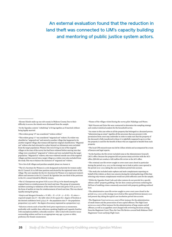An external evaluation found that the reduction in land theft was connected to IJM's capacity building and mentoring of public justice system actors.

16This widow group "e" was considered "migrated out" widows. If a widow was classified as "migrated out" and moved to another village that happened to be another targeted village, that woman still kept her original classification. "Migrated out" widows who had relocated to a place beyond 100 kilometers were excluded from the target population. Women who were living in one of the targeted villages at the time of the survey but had been widowed before moving into that village were considered "migrated in" widows and were excluded from the target population. "Migrated in" widows, who were widowed outside one of the targeted villages and then moved into a target village as a widow, were also excluded from the study. This was to balance the inclusion of "migrated out" widows.

17For a list of all villages and parishes sampled, please see Annex A.

<sup>18</sup>The LC1 Secretary for Women is a role designated exclusively for women under the LC Council. It is a full-time position and elected by the registered voters of the village. The core mandate for the LC1 Secretary for Women is to represent women's affairs and interests in the LC1 Council. By Ugandan law, one third of the positions in the LC1 council should be filled by women.

<sup>19</sup>The LC Chairperson was given UGX 10,000 (US \$4) to be shared among the original listers as reimbursement for travel and time. The group of community members assisting in validation of the widow list were also given UGX 30,000 in the form of mobile air time for reimbursement of travel and time. This was shared equally among the group.

<sup>20</sup>Krejcie and Morgan's formula: *s*= *X*<sup>2</sup> NP(1 - P) ÷ d<sup>2</sup> (N - 1) + *X*<sup>2</sup> P(1 - P), where *s* = required sample size;  $X^2$  = the table value of chi-square for 1 degree of freedom at the desired confidence level (3.841); N = the population size; *P* = the population proportion (.05); and *d* = the degree of accuracy expressed as a proportion (.05).

21Selection criteria used: at least BSc level; prior experiences as enumerator, preferably with (mobile) data collection; speaking English and Luganda; familiar with smartphones/tablets; culturally sensitive—able to deal with sensitive issues surrounding widows and loss in an appropriate way; age: 25 years or older; preference for female enumerators.

22Names of the villages visited during the survey pilot: Nakabago and Ntawo.

23Kyle Vincent and Zixin Nie were contracted to determine the sampling strategy and conduct statistical analysis for the household survey.

24An estate in this case refers to all the property that belonged to a deceased person. "Administering an estate" signifies all the processes that any person(s) with permission from court may undertake in order to make sure that the property of the deceased is fully transferred to those it is rightfully supposed to go to or that the property is used for the benefit of those who are supposed to benefit from such property.

<sup>25</sup>The local CFR research team was led by Lillian Achola and accompanied by a team of lawyers and legal experts.

26In the baseline, the file review included some at the Administrator General's (AG's) office. Because the program did not pursue many activities with the AG's office, IJM did not conduct a full endline file review at the AG's office.

<sup>27</sup>The criminal case file review sought to cover court cases closed in particular during the period 2014–2017, so the strategy was to look at police cases opened in the period 2010–2017, taking the case incubation period into account.

28The study also included male orphans and male complainants reporting on behalf of the widows, as there was concern during the initial gathering of files that selecting only women complainants would not yield sufficient cases for the sample.

29While the Ugandan Penal Code and other statutes do not provide for a specific offense called "property grabbing," the law does contain provisions outlawing the full host of enabling crimes commonly associated with property grabbing outlined here.

<sup>30</sup>The administrative cause file review sought to cover court cases closed in the period 2014–2017, so the strategy was to look at files opened between January 2010 and present day, taking the typical case incubation period into account.

<sup>31</sup>The Magistrate Court serves as a court of first instance for the administration of small estates and the prosecution of non-capital offenses. The High Court serves as a court of first instance for the administration of large estates and all offenses, as well as an appellate court charged with reviewing decisions arising from the Magistrate Court. Thus, the Case File Review covered both Mukono Chief Magistrates' Court and Jinja High Court.

 <sup>13</sup>Koome Islands make up one sub-county in Mukono County. Due to their difficulty in access, the islands were eliminated from the sample.

<sup>14</sup>In the Ugandan context, "cohabiting" is living together, as if married, without being legally married.

<sup>15</sup>This widow group "d" was considered "widows within."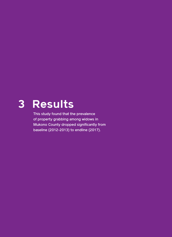## **3 Results**

This study found that the prevalence of property grabbing among widows in Mukono County dropped significantly from baseline (2012-2013) to endline (2017).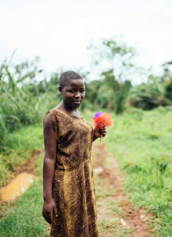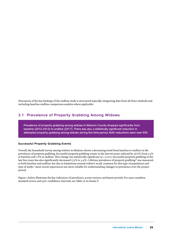Discussion of the key findings of the endline study is structured topically, integrating data from all three methods and including baseline-endline comparison analysis where applicable.

#### **3.1 Prevalence of Property Grabbing Among Widows**

Prevalence of property grabbing among widows in Mukono County dropped significantly from baseline (2012-2013) to endline (2017). There was also a statistically significant reduction in attempted property grabbing among widows during this time period. Both reductions were near 50%.

#### **Successful Property Grabbing Events**

Overall, the household survey among widows in Mukono shows a decreasing trend from baseline to endline in the prevalence of property grabbing. Successful property grabbing events in the last two years reduced by 48.6% from 3.5% at baseline and 1.8% at endline. This change was statistically significant (p ≤ 0.001). Successful property grabbing in the last four years has also significantly decreased (7.5% to 3.4%). Lifetime prevalence of property grabbing<sup>32</sup> was measured at both baseline and endline, but due to limitations around widow's recall, common for this type of population and type of study,33 more recent experiences are more reliable for understanding changes in prevalence over the project period.

Figure 2 below illustrates the key indicators of prevalence, across various catchment periods. For exact numbers, standard errors, and 95% confidence intervals, see Table 18 in Annex F.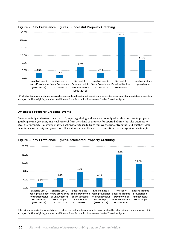

Figure 2: Key Prevalence Figures, Successful Property Grabbing

 ◊ To better demonstrate change between baseline and endline, the sub-counties were weighted based on widow population size within each parish. This weighting exercise in addition to formula recalibrations created "revised" baseline figures.

#### **Attempted Property Grabbing Events**

In order to fully understand the extent of property grabbing, widows were not only asked about successful property grabbing events (meaning an actual removal from their land or property for a period of time), but also attempts to steal their property (i.e., events in which actions were taken to try to remove the widow from the land, but the widow maintained ownership and possession). If a widow who met the above victimization criteria experienced attempts



#### Figure 3: Key Prevalence Figures, Attempted Property Grabbing

 $\Diamond$  To better demonstrate change between baseline and endline, the sub-counties were weighted based on widow population size within each parish. This weighting exercise in addition to formula recalibrations created "revised" baseline figures.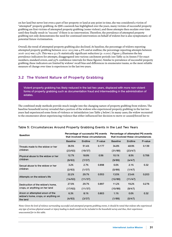on her land but never lost even a part of her property or land at any point in time, she was considered a victim of "attempted" property grabbing. As IJM's casework has highlighted over the years, many victims of successful property grabbing are first victims of attempted property grabbing (some violent), and those attempts then escalate over time until they finally result in "success" if there is no intervention. Therefore, the prevalence of attempted property grabbing not only demonstrates the need for continued intervention on behalf of widows but is also symptomatic of potential future victimization.

Overall, the trend of attempted property grabbing also declined. At baseline, the percentage of widows reporting attempted property grabbing between 2012–2013 was 4.8% and at endline, the percentage reporting attempts between 2016–2017 was 2.3%. This was a 52.1% statistically significant reduction (p ≤ 0.001). Figure 3 illustrates the key prevalence indicators for attempts, disaggregated into various catchment periods (see Table 19 in Annex F for exact numbers, standard errors, and 95% confidence intervals for these figures). Similar to prevalence of successful property grabbing, these indicators are limited by widows' recall bias and differences in enumerator teams, so the most reliable measure of change over time is experiences in the last two years.

#### **3.2 The Violent Nature of Property Grabbing**

Violent property grabbing has likely reduced in the last two years, displaced with more non-violent forms of property grabbing such as documentation fraud and intermeddling in the administration of estates.

The combined study methods provide much insight into the changing nature of property grabbing from widows. The baseline household survey revealed that a portion of the widows who experienced property grabbing in the last two years had experienced some form of violence or intimidation (see Table 5 below). In many cases, the widow recounted to the enumerator about experiencing violence that either influenced her decision to move or caused/forced her to

| Question                                        |                 | Percentage of successful PG events<br>that involved these circumstances |         |                 | Percentage of attempted PG events<br>that involved these circumstances |         |
|-------------------------------------------------|-----------------|-------------------------------------------------------------------------|---------|-----------------|------------------------------------------------------------------------|---------|
|                                                 | <b>Baseline</b> | Endline                                                                 | P-value | <b>Baseline</b> | Endline                                                                | P-value |
| Threats made to the widow or her                | 36.5%           | 51.4%                                                                   | 0.177   | 34.8%           | 48.9%                                                                  | 0.139   |
| children                                        | (23/63)         | (19/37)                                                                 |         | (31/89)         | (23/47)                                                                |         |
| Physical abuse to the widow or her              | 12.7%           | 18.9%                                                                   | 0.56    | 10.1%           | 8.5%                                                                   | 0.706   |
| children                                        | (8/63)          | (7/37)                                                                  |         | (9/89)          | (4/47)                                                                 |         |
| Sexual abuse to the widow or her                | 3.2%            | 2.7%                                                                    | 0.898   | 0.0%            | 2.1%                                                                   | 0.32    |
| children                                        | (2/63)          | (1/37)                                                                  |         | (0/89)          | (1/47)                                                                 |         |
|                                                 | 22.2%           | 29.7%                                                                   | 0.553   | 13.5%           | 23.4%                                                                  | 0.203   |
| Attempts on the widow's life                    | (14/63)         | (11/37)                                                                 |         | (12/89)         | (11/47)                                                                |         |
| Destruction of the widow's home,                | 27.0%           | 29.7%                                                                   | 0.897   | 11.2%           | 19.2%                                                                  | 0.276   |
| crops, or anything on her land                  | (17/63)         | (11/37)                                                                 |         | (10/89)         | (9/47)                                                                 |         |
| Arson or attempted arson of the                 | 6.3%            | 8.1%                                                                    | 0.803   | 1.1%            | 0.0%                                                                   | 0.32    |
| widow's home, crops, or anything on<br>the land | (4/63)          | (3/37)                                                                  |         | (1/89)          | (0/47)                                                                 |         |

#### Table 5: Circumstances Around Property Grabbing Events in the Last Two Years

Note: *Given the level of violence surrounding successful and attempted property grabbing events, it should be noted that widows who experienced any type of serious physical assault or injury leading to death would not be included in the household survey and thus, their experiences unaccounted for in this table.*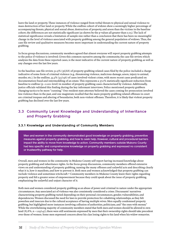leave the land or property. These instances of violence ranged from verbal threats to physical and sexual violence to mass destruction of her land or property. While the endline cohort of widows show a seemingly higher percentage of accompanying threats, physical and sexual abuse, destruction of property, and arson than the victims in the baseline cohort, the differences are not statistically significant (as shown by the p-values all greater than 0.05). The lack of statistical significance reveals a limitation of sample size rather than a conclusion that there has been no meaningful change in the level of violence associated with property grabbing among the general population of widows. Thus, the case file review and qualitative measures become more important in understanding the current nature of property grabbing.

In focus group discussions, community members agreed that almost everyone will report property grabbing attempts to the police if violence is involved. Given this common narrative among the community, the case file review, which analyzes the data from these reported cases, is the most indicative of the current nature of property grabbing, as well as any changes over the last few years.

In the baseline case file review, 52.9% (36/68) of property-grabbing related cases filed by the police included a charge indicative of some form of criminal violence (e.g., threatening violence, malicious damage, arson, injury to animal, murder, etc.). In the endline, 33.3% (52/156) of cases involved violent crime, with more recent cases predicated on documentation fraud and intermeddling of an estate. This represents a 37.0% statistically significant reduction from baseline to endline (p ≤ 0.001 level) in number of property grabbing cases characterized by violence. Additionally, justice officials validated this finding during the key informant interviews. Police mentioned property grabbers changing tactics to be more "cunning." One resident state attorney believed the cases coming for prosecution involved less violence than in the past, and one magistrate recalled that the main property-grabbing related offenses in court are criminal trespass and altering of boundaries, both non-violent offenses. Therefore, it is likely that violent property grabbing has declined over the last few years.

#### **3.3 Community Level Knowledge and Understanding of Inheritance and Property Grabbing**

#### **3.3.1 Knowledge and Understanding of Community Members**

Men and women in the community demonstrated good knowledge on property grabbing, preventive measures against property grabbing, and how to seek help. However, cultural and procedural barriers impact the ability to move from knowledge to action. Community members outside Mukono County had less specific and comprehensive knowledge on property grabbing and expressed no consistent or trustworthy pathway for help.

Overall, men and women in the community in Mukono County self-report having increased knowledge about property grabbing and inheritance rights. In the focus group discussions, community members offered extensive views on and understanding of property grabbing, naming the many offenses and unlawful acts and describing clearly what it is, how it manifests, and how to prevent it. Both men and women acknowledged that property grabbing can include violence and sometimes witchcraft.34 Community members in Mukono County knew their rights regarding property and felt a greater sense of empowerment because they could speak about the issue of property grabbing, emphasizing the unlawful and unjust character of it.

Both men and women considered property grabbing as an abuse of power and criminal in nature under the appropriate circumstances. Any associated act of violence was also consistently considered a crime. Discussants' narratives characterizing property grabbing varied depending on their personal circumstances, gender, vulnerabilities, and dependencies. Women discussed the need for laws to provide protection for cohabiting relationships, as they felt powerless and insecure due to the cultural acceptance of having multiple wives. Men equally condemned property grabbing, but highlighted more instances involving collusion of authorities, politicians, and "the ones with money." While the overwhelming majority of community members stated that both men and women should be allowed to own land (87.8%, n = 129/147), there were still sentiments expressed by men that their ownership rights should take precedent over those of women. Some men expressed concern about his clan losing rights to his land when his widow remarries.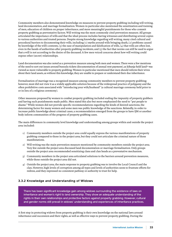Community members also demonstrated knowledge on measures to prevent property grabbing including will writing, land documentation, and marriage formalization. Women in particular also mentioned the sensitization and training of men, education of children on proper inheritance, and more meaningful punishments for those who commit property grabbing as preventative factors. Will writing was the most commonly cited prevention measure. All groups articulated the importance of wills and that the ideal process includes having witnesses and distributing several copies to various authorities and trusted persons. Despite strong knowledge regarding will writing, many cited cultural and procedural barriers to documenting their wills, including (1) myths around wills bringing death, (2) problems caused by knowledge of the will's contents, (3) the ease of manipulation and falsification of wills, (4) that wills are often lost, even in the hands of authorities after property grabbing incidents, and  $(5)$  the fact that norms can still be used to argue that a will is not according to the desire of the deceased. A few men voiced concerns about how will writing could expose other (secret) relationships.

Land documentation was also noted as a prevention measure among both men and women. There were a few mentions of the need to sort out issues around busuulu tickets (documentation of annual rent payment), as kibanja-held land<sup>35</sup> was viewed as more vulnerable to property grabbing. Women in particular mentioned that men should inform their wives about their land assets, as without this knowledge, they are unable to prepare or understand their due inheritance.

Formalization of marriage was a recognized measure among community members to prevent property grabbing; however, most did not view it as a widely applicable solution because of the widespread practice of polygamy and the often prohibitive costs associated with "introducing your wife/husband" (a cultural marriage ceremony held prior to or in lieu of a religious ceremony).

Other measures proposed by women to combat property grabbing included ending the impunity of property grabbers and having such punishments made public. Men stated this also but more emphasized the need to "put people to shame." While women did not provide specific recommendations regarding the kinds of desired sanctions, the determining factor for many women and some men was public knowledge of the sanctions. Relatedly, in order to increase public knowledge about criminal cases, a recommendation emerged from the groups to have IJM or another body inform communities of the progress of property grabbing cases.

The main differences in community level knowledge and understanding among groups within and outside the project area included:

- 1) Community members outside the project area could equally express the various manifestations of property grabbing compared to those in the project area, but they could not articulate the criminal nature of those manifestations.
- 2) Will writing was the main prevention measure mentioned by community members outside the project area. Very few outside the project area discussed land documentation or marriage formalization. Only groups outside the project area recommended sensitizing clans and clan heads as a preventative mechanism.
- 3) Community members in the project area articulated solutions to the barriers around prevention measures, while those outside the project area did not.
- 4) Outside the project area, the main response to property grabbing was to involve the Local Council and the clan. However, high levels of corruption among all types and levels of authorities seem to frustrate efforts for redress, and they expressed no consistent pathway or authority to trust for help.

#### **3.3.2 Knowledge and Understanding of Widows**

There has been significant knowledge gain among widows surrounding the existence of laws on inheritance and women's right to land ownership. They show an adequate understanding of the rights in their own relationships and protective factors against property grabbing. However, cultural and gender norms still prevail in widows' understanding and experiences of inheritance practices.

A first step in protecting widows from property grabbing is their own knowledge on the national laws around inheritance and succession and their rights, as well as effective ways to prevent property grabbing. During the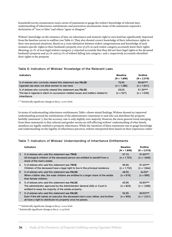household survey, enumerators read a series of statements to gauge the widow's knowledge of relevant laws, understanding of inheritance entitlements, and prevention mechanisms. Some of the statements required a declaration of "true or false" and others "agree or disagree."

Widows' knowledge on the existence of laws on inheritance and women's right to own land has significantly improved from the baseline survey to endline (see Table 6). They also showed correct knowledge of their inheritance rights in their own personal situations. Based on a cross-tabulation between widow categorizations and knowledge of each woman's specific rights to their husband's property, over 97.9% in each widow category accurately knew their rights. Meaning, 97.1% of non-legal widows (category 3) reported accurately that they did not have legal rights to the deceased husband's property, and 97.2% and 97.1% of widows falling into category 1 and 2 respectively accurately identified their rights to the property.

#### Table 6: Indicators of Widows' Knowledge of the Relevant Laws

| <b>Indicators</b>                                                                                                                                                     | <b>Baseline</b><br>$(N = 1,806)$ | <b>Endline</b><br>$(N = 2,018)$ |
|-----------------------------------------------------------------------------------------------------------------------------------------------------------------------|----------------------------------|---------------------------------|
| % of widows who correctly viewed this statement was <b>FALSE</b> :<br>Ugandan law does not allow women to own land.                                                   | 76.9%<br>$(n = 1,388)$           | 80.8%***<br>$(n = 1.631)$       |
| % of widows who correctly viewed this statement was <b>FALSE</b> :<br>The law in Uganda is silent on succession-related issues and matters related to<br>inheritance. | 29.2%<br>$(n = 527)$             | 51.3%***<br>$(n = 1.036)$       |

\*\*\* Statistically significant change at the p ≤ 0.001 level.

In terms of understanding inheritance entitlements, Table 7 shows mixed findings. Widows showed an improved understanding around the entitlements of the administrator (statement 6) and who can distribute the property lawfully (statement 7), but the accuracy rate is only slightly over majority. However, the more general trend emerging from these statements is that cultural and gender norms are still affecting widows' understanding of what family members are legally entitled to property inheritance. While the intention of these statements was to gauge knowledge and understanding on the legality of inheritance practices, widows interpreted these based on their experience rather

#### Table 7: Indicators of Widows' Understanding of Inheritance Entitlements

|                | <b>Indicators</b>                                                                                                                                                                                         | <b>Baseline</b><br>$(N = 1,806)$ | <b>Endline</b><br>$(N = 2,018)$ |
|----------------|-----------------------------------------------------------------------------------------------------------------------------------------------------------------------------------------------------------|----------------------------------|---------------------------------|
| 3              | % of widows who said this statement was TRUE:<br>All biological children of the deceased person are entitled to benefit from a<br>share of the man's estate.                                              | 97.1%<br>$(n = 1,753)$           | $91.6%***$<br>$(n = 1.849)$     |
| 4              | % of widows who said this statement was TRUE:<br>Children of the deceased have a legal right to live in the principal residence.                                                                          | 95.9%<br>$(n = 1.732)$           | $91.4%***$<br>$(n = 1,844)$     |
| 5              | % of widows who said this statement was <b>FALSE</b> :<br>When a father dies, the male children are entitled to a larger share of the estate<br>than female children.                                     | 48.5%<br>$(n = 876)$             | 44.5%*<br>$(n = 899)$           |
| 6              | % of widows who said this statement was <b>FALSE</b> :<br>The administrator approved by the Administrator General (AG) or Court is<br>entitled to keep the majority of the estate property.               | 45.9%<br>$(n = 829)$             | 52.8%***<br>$(n = 1.066)$       |
| $\overline{7}$ | % of widows who said this statement was <b>FALSE</b> :<br>Even if the will names an executor, the deceased man's sons, father, and brother<br>all have a right to distribute his property once he passes. | 52.9%<br>$(n = 956)$             | 60.5%***<br>$(n = 1,221)$       |

\*\*\* Statistically significant change at the p ≤ 0.001 level.

\* Statistically significant change at the p ≤ 0.05 level.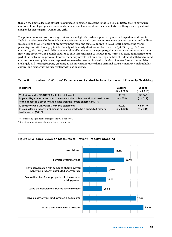than on the knowledge base of what was supposed to happen according to the law. This indicates that, in particular, children of non-legal spouses (statements  $3$  and  $4$ ) and female children (statement  $5$ ) are still experiencing cultural and gender biases against women and girls.

The prevalence of cultural norms against women and girls is further supported by reported experiences shown in Table 8. In relation to children's inheritance, widows indicated a positive improvement between baseline and endline in equalizing the distribution of property among male and female children ( $p \le 0.05$  level); however, the overall percentage was still low at 35.3%. Additionally, while nearly all widows at both baseline (98.6%, 1,749/1,806) and endline (97.2%, 1,961/2,018) *believed* women should be allowed to own property, their experiences prove otherwise in inheriting property. One possible solution to shift these norms is to include more women as estate administrators or part of the distribution process. However, the survey reveals that only roughly one-fifth of widows at both baseline and endline (no meaningful change) reported women to be involved in the distribution of estates. Lastly, communities are largely still treating property grabbing as a family matter rather than a criminal act (statement 9), which upholds cultural and gender norms inconsistent with national laws.

#### Table 8: Indicators of Widows' Experiences Related to Inheritance and Property Grabbing

| <b>Indicators</b>                                                                                                                                                                                               | <b>Baseline</b><br>$(N = 1,806)$ | <b>Endline</b><br>$(N = 2.018)$ |
|-----------------------------------------------------------------------------------------------------------------------------------------------------------------------------------------------------------------|----------------------------------|---------------------------------|
| % of widows who DISAGREED with this statement:<br>In your village, when a man dies, the male children often take all or at least more<br>of the deceased's property and estate than the female children. (Q714) | 30.5%<br>$(n = 550)$             | $35.3%$ *<br>$(n = 712)$        |
| % of widows who DISAGREED with this statement:<br>In your village, property grabbing is not considered to be a crime, but rather a<br>family matter. (Q716)                                                     | 60.9%<br>$(n = 1,100)$           | 48.8%***<br>$(n = 984)$         |

\*\*\* Statistically significant change at the  $p \nleq 0.001$  level.

\* Statistically significant change at the p ≤ 0.05 level.

#### **Figure 4: Widows' Views on Measures to Prevent Property Grabbing**

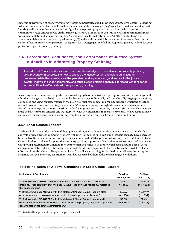In terms of prevention of property grabbing, widows demonstrated good knowledge of protective factors (i.e., writing wills, documentation of land, and formalizing and documenting marriage). 89.3% of all surveyed widows identified "writing a will and naming an executor" as a "good way to protect property from grabbing," which was the most commonly selected answer choice on this survey question. On the baseline this was 86.0%. Other common answers were documentation of land ownership (77.6%) and marriage formalization (60.4%). "Having children" is still viewed as a highly protective factor by widows (45.5%) at the endline, which is indicative of the remaining cultural values' effects on inheritance practices. See Figure 4 for a disaggregation of all the responses given by widows for good protections against property grabbing.

#### **3.4 Perceptions, Confidence, and Performance of Justice System Authorities in Addressing Property Grabbing**

Trained Local Council leaders showed improved knowledge and confidence on property grabbing, laws, prevention measures, and how to engage the justice system and estate administration processes. While these leaders are the perceived and experienced gatekeepers to the justice system, widows, the wider community, and other justice officials generally expressed low confidence in their abilities to effectively address property grabbing.

According to most behavior change theories, knowledge gain occurs first, then perceptions and attitudes change, and, after these changes are realized, practices and behaviors change individually and more broadly. To gauge perceptions, confidence, and views on performance of the main two "first responders" in property grabbing situations, the study utilized three methods and four target audiences: (1) household survey, through widows' assessment of confidencerelated statements; (2) discussion questions in the focus groups with community members (in and outside the project area) and justice system officials; and (3) interviews with key informants in the justice system. The two sections below summarize the emerging themes stemming from this information on Local Council leaders and police.

#### **3.4.1 Local Council Leaders**

The household survey asked widows if they agreed or disagreed with a series of statements related to these leaders' ability to provide protection against property grabbing. Confidence in Local Council leaders seems to have decreased between baseline and endline, according to the data presented in Table 9. Fewer widows reported confidence in Local Council leaders to refer and support their property grabbing reports to police, and more widows reported that leaders were giving preferential treatment to men over women and children in property grabbing disputes. Both of these changes were statistically significant (p ≤ 0.001 level). While not a significant change between the two data collection efforts, widows also either still experienced Local Council leaders asking for facilitation or bribes or the perception remained that this monetary requirement would be requested of them if the women engaged with them.

#### Table 9: Indicators of Widows' Confidence in Local Council Leaders

| Indicators of Confidence                                                                                                                                                                                          | <b>Baseline</b><br>$(N = 1,806)$ | <b>Endline</b><br>$(N = 2,018)$ |
|-------------------------------------------------------------------------------------------------------------------------------------------------------------------------------------------------------------------|----------------------------------|---------------------------------|
| % of widows who <b>AGREED</b> with this statement: "If I were a victim of property<br>grabbing, I feel confident that my Local Council leader would report my matter to<br>the police station."                   | 84.8%<br>$(n = 1532)$            | 74.4%***<br>$(n = 1502)$        |
| % of widows who DISAGREED with this statement: "Local Council leaders often<br>give preference to men over women and children in property disputes."                                                              | 52.6%<br>$(n = 950)$             | 44.2%***<br>$(n = 891)$         |
| % of widows who DISAGREED with this statement: "Local Council Leaders will<br>request 'facilitation fees' or bribes in order to resolve property disputes or provide<br>documentation for estate administration." | 32.3%<br>$(n = 584)$             | 28.4%<br>$(n = 573)$            |

\*\*\* Statistically significant change at the p ≤ 0.001 level.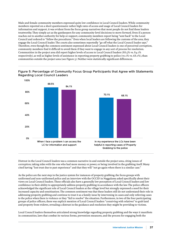Male and female community members expressed quite low confidence in Local Council leaders. While community members reported on a short questionnaire rather high rates of access and usage of Local Council leaders for information and support, it was evident from the focus group narratives that most people do not find these leaders trustworthy. They simply act as the gatekeepers for any community-level decisions to move forward. Even if a person reaches out to another authority for help or support, community members report being "sent back" to the Local Council and ordered to "follow the procedures." Even when local leaders are following the customs of the area, they engage the Local Council leader. The courts also sometimes reportedly "go off what the Local Council leader says." Therefore, even though the common sentiment expressed about Local Council leaders is one of perceived corruption, community members find it difficult to avoid them if they want to engage in any sort of process for resolution. Communities in the project area did report higher levels of access to Local Council leaders (88.5% vs. 84.1% respectively), as well as higher levels of assistance in reporting property grabbing to police (70.1% vs. 68.1%), than communities outside the project area (see Figure 5). Neither were statistically significant differences.



# Figure 5: Percentage of Community Focus Group Participants that Agree with Statements Regarding Local Council Leaders

Distrust in the Local Council leaders was a common narrative in and outside the project area, citing issues of corruption, taking sides with the one who had more money or power, or being involved in the grabbing itself. Many cited having "lost trust due to past experience" and that they will "not go again when there is a similar case."

As the police are the next step in the justice system for instances of property grabbing, the focus groups with uniformed and non-uniformed police and an interview with the OCCID in Naggalama asked specifically about their views on Local Council leaders. These officials also have a generally low perception of Local Council leaders and low confidence in their ability to appropriately address property grabbing in accordance with the law. The police officers acknowledged the significant role of Local Council leaders at the village level but strongly expressed a need for their increased capacity and sensitization. The common sentiment was that these leaders still do not understand their role in addressing property grabbing and continue to treat it as a family issue by intervening in cases and only referring cases to the police when there is violence or they "fail to resolve" the situation. Furthermore, in two of the four participating groups of police officers, there was explicit mention of Local Council leaders "conniving with relatives" to grab land and property from widows, revealing a distrust in the guidance and resolution they might be providing to victims.

Local Council leaders themselves articulated strong knowledge regarding property grabbing and the ways it manifests in communities, laws that combat its various forms, prevention measures, and the process for engaging both the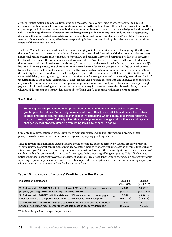criminal justice system and estate administration processes. These leaders, most of whom were trained by IJM, expressed a confidence in addressing property grabbing due to the tools and skills they had been given. Many of them expressed pride in how men and women in their communities have responded to their knowledge and actions: writing wills, "introducing" their wives/husbands (formalizing marriage), documenting their land, and resolving property disputes with authorities before escalation and violence. In several groups, the challenge of "facilitation" came up, naming this as a barrier to being effective or to spreading information and having a broader reach to communities outside of their immediate areas.

The Local Council leaders also validated the theme emerging out of community member focus groups that they are the "go-to" authority at the community level. However, they also voiced frustration with their role in both customary and formal justice systems in seeking justice for widows and orphans. They cited corruption within both processes: (1) clans do not respect the ownership rights of women and girls (100% of participating Local Council leaders stated that women should be allowed to own land); and (2) courts, in particular, were bribable (except in the cases where IJM has trained the magistrates). In a short questionnaire in advance of the focus groups, 14.8% (4/27) of Local Council leaders had more trust in local customary law over the formal justice system in resolving property grabbing. While the majority had more confidence in the formal justice system, the vulnerable are still denied justice "in the form of substantial delays, missing files, high monetary requirements for engagement, and baseless judgments due to 'lack of understanding of the ground (community).'" These leaders also provided insights into and validated the constraints expressed by community members in their pursuit of prevention measures and justice: local churches require high payments for formal marriage certificates, police require money for transport to conduct investigations, and even when valid documentation is provided, corruptible officials can favor the side with more power or money.

# **3.4.2 Police**

There is general improvement in the perception of and confidence in police trained in property grabbing related crimes. Community members, widows, other justice officials, and police themselves express challenges around resources for proper investigations, which continues to inhibit reporting, trust, and case progress. Trained police officers have greater knowledge and confidence and report a changed view of property grabbing from being familial to criminal in nature.

Similar to the above section, widows, community members generally, and key informants all provided their perceptions of and confidence in the police's response to property grabbing crimes.

Table 10 reveals mixed findings around widows' confidence in the police to effectively address property grabbing. Widows reported a significant increase in police accepting cases of property grabbing cases as criminal (but still only slightly over 50%), instead of dismissing them as family matters. However, there was a significant decrease in widows' confidence that the police would listen to and investigate their property grabbing complaints. This is likely due to police's inability to conduct investigations without additional resources. Furthermore, there was no change in widows' reporting of police requests for facilitation or bribes to provide investigative services—the overwhelming majority of widows reported these requested "fees" to be commonplace.

# Table 10: Indicators of Widows' Confidence in the Police

| Indicators of Confidence                                                              | <b>Baseline</b><br>$(N = 1,806)$ | Endline<br>$(N = 2,018)$ |
|---------------------------------------------------------------------------------------|----------------------------------|--------------------------|
| % of widows who DISAGREED with this statement: "Police often refuse to investigate    | 40.8%                            | 50.5%***                 |
| property grabbing cases because they are family matters."                             | $(n = 737)$                      | $(n = 1020)$             |
| % of widows who AGREED with this statement: "If I were a victim of property grabbing, | 56.5%                            | 43.5%***                 |
| I feel confident that the police would listen to and investigate my complaint."       | $(n = 1021)$                     | $(n = 877)$              |
| % of widows who DISAGREED with this statement: "Police often accept or request"       | 12.2%                            | 11.1%                    |
| bribes or 'facilitation fees' in order to investigate cases of property grabbing."    | $(n = 220)$                      | $(n = 223)$              |

\*\*\* Statistically significant change at the p ≤ 0.001 level.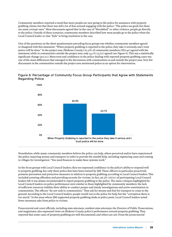Community members reported a trend that more people are now going to the police for assistance with property grabbing claims, but that there was still a lot of fear around engaging with the police: "The police are good, but there are some corrupt ones." Most discussants agreed that in the case of "bloodshed" or other violence, people go directly to the police. Outside of these scenarios, community members described how most people go to the police when the Local Council leader or clan "fails" to bring resolution to the case.

One of the questions on the short questionnaire preceding focus groups was whether community members agreed or disagreed with this statement: "When property grabbing is reported to the police, they take it seriously, and I trust justice will be done." In the project area (Mukono County), 62.9% of community members (88/140) agreed with the statement, while in communities outside the project area, only 43.1% (31/72) agreed (see Figure 6). This was a statistically significant change (p≤0.01). More trust and confidence in the police dealing with reported property grabbing cases was one of the main differences that emerged in the discussions with communities in and outside the project area. Very few discussants in the communities outside the project area mentioned police as an option for intervention.

# Figure 6: Percentage of Community Focus Group Participants that Agree with Statements Regarding Police



Nonetheless, while many community members believe the police can help, others perceived and/or have experienced the police requiring money and transport in order to provide the needed help, including registering cases and coming to villages for investigation: "You need finances to make these systems work."

In the focus groups with Local Council leaders, they too expressed confidence in the police's ability to respond well to property grabbing, but only those police that have been trained by IJM. These officers in particular, proactively promote prevention and protective measures in relation to property grabbing, according to Local Council leaders. This included arresting offenders and providing security for victims. In fact, 96.3% (26/27) of participating Local Council leaders felt it was always recommended to report property grabbing to the police. The main critiques highlighted by Local Council leaders on police performance were similar to those highlighted by community members: the lack of sufficient resources inhibits their ability to conduct proper and timely investigations and active sensitization in communities. The officers "do not rush to communities." They ask for money and fuel for transport to come to the ground. According to the Local Council leaders, people would run to the police for help, but the "corruption there is too much." In the areas where IJM supported property grabbing desks at police posts, Local Council leaders noted fewer monetary asks from police to victims.

Prosecutorial and court officials, including state attorneys, resident state attorneys, the Director of Public Prosecutions, and magistrates, also expressed views on Mukono County police's performance around property grabbing. They reported that some cases of property grabbing are well-documented, and others are not. From the prosecutorial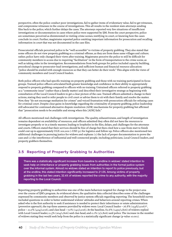perspective, often the police conduct poor investigations, fail to gather items of evidentiary value, fail to get witnesses, and compromise witnesses in the course of investigations. This all results in the resident state attorneys sending files back to the police, which further delays the cases. The attorneys reported very few situations of insufficient investigations or documentation in cases where police were supported by IJM. From the court perspective, police are sometimes perceived as disinterested in visiting crime scenes, testifying in court, or knowing how the cases conclude in court. Further, magistrates reported police omitting important information for prosecution and recalling information in court that was not documented in the case files.

Prosecutorial officials perceived police to be "well accessible" to victims of property grabbing. They also stated that some officers do not view property grabbing as a criminal offense, as they are from these same villages and culture; rather, police have only changed their views after training. Magistrates perceive the police to still be difficult for community members to access due to requiring "facilitation" in the form of transportation to the crime scene, as well as taking sides in the investigation. Recommendations from both groups for police included capacity building, procedural change to prosecutor-lead investigations, and sufficient human and financial resource allocation: "police should be availed with enough resources so that they can better do their work." This aligns with the views of community members and Local Council leaders.

Both police officers who had specific training on property grabbing and those with no training participated in focus groups. Trained police officers articulated both greater knowledge and confidence in their ability to appropriately respond to property grabbing compared to officers with no training. Untrained officers referred to property grabbing as a "community issue" (rather than a family matter) and described their investigative strategy as beginning with consultation of the Local Council leaders to get a clear picture of the case. Trained officers admitted a change in their actions, stating they used to refer people to civil court or advise them to sit with their family and resolve the matter. Now, they "do not encourage mediation for crimes" and voiced frustration with prosecution officials for refusing cases for criminal court. Despite clear gains in knowledge regarding the criminality of property grabbing, police leadership still advocated for continued alternative dispute resolution (ADR) mechanisms for property grabbing but affirmed that "prosecution needs to be available and strong when this [ADR] fails."

All officers mentioned real challenges with investigations. The quality, exhaustiveness, and length of investigation remains dependent on availability of resources, and officers admitted they often did not have the resources to investigate properly or in a timely manner, leading to loopholes in the files, delays, and challenges for the attorneys and courts. Officers stated that their services should be free of charge but then cited how a case from start to finish could cost up to approximately UGX 200,000 (≈USD 52) for logistics and follow-up. Police officers also mentioned two additional challenges in pursuing justice for widows and orphans: (1) the lack of proper documentation to prove the case and (2) the interference of influential and well-connected people, including politicians, Local Council leaders, and property grabbers themselves.

# **3.5 Reporting of Property Grabbing to Authorities**

There was a statistically significant increase from baseline to endline in widows' stated intention to seek help on inheritance or property grabbing issues from authorities in the formal justice system over the informal system. Almost no widows stated an intention to report to police previously, but at the endline, this stated intention significantly increased to 21.0%. Among victims of property grabbing in the last two years, 32.4% of widows reported the crime to any authority, with the majority reporting to the Local Council.

Reporting property grabbing to authorities was one of the main behaviors targeted for change in the project area over the course of IJM's program. As evidenced above, the qualitative data collected describes some of the challenges expressed by community members and observed by justice system officials regarding reporting. The household survey included questions in order to better understand widows' attitudes and behaviors around reporting crimes. When asked who is the first authority to seek if assistance is needed to protect their inheritance or estate administration (*prevention approach*), the top three answers provided by widows were: Local Council leader = 76.8% (1548/2,016)36, police = 21.0% (424/2,016), and clan head = 7.0% (141/2,016). At the baseline, 82.6% (1492/1,806) of widows replied with Local Council leader, 11.3% (204/1,806) said clan head, and 0.1% (2/1,806) said police. The increase in the number of widows stating they would seek help from the police is a statistically significant change (p-value ≤0.001).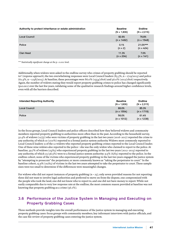| Authority to protect inheritance or estate administration | <b>Baseline</b><br>$(N = 1,806)$ | <b>Endline</b><br>$(N = 2,016)$ |
|-----------------------------------------------------------|----------------------------------|---------------------------------|
| Local Council                                             | 82.6%<br>$(n = 1492)$            | 76.8%<br>$(n = 1548)$           |
| Police                                                    | 0.1%<br>$(n = 2)$                | 21.0%***<br>$(n = 424)$         |
| <b>Clan Head</b>                                          | 11.3%<br>$(n = 204)$             | 7.0%<br>$(n = 141)$             |

*\*\*\* Statistically significant change at the p ≤ 0.001 level.*

Additionally, when widows were asked in the endline survey who crimes of property grabbing should be reported to<sup>37</sup> (*response approach*), the two overwhelming responses were Local Council leaders (85.3%, n = 1719/2015) and police (61.4%, n = 1238/2015). At baseline, these percentages were 86.0% (1554/1806) and 56.0% (1012/1806) respectively. Again, the number of widows stating they would report property grabbing crimes to police has changed significantly (p≤0.001) over the last few years, validating some of the qualitative research findings around higher confidence levels, even with all the barriers described.

| Intended Reporting Authority | <b>Baseline</b><br>$(N = 1,806)$ | <b>Endline</b><br>$(N = 2,015)$ |
|------------------------------|----------------------------------|---------------------------------|
| <b>Local Council</b>         | 86.0%<br>$(n = 1554)$            | 85.3%<br>$(n = 1719)$           |
| Police                       | 56.0%<br>$(n = 1012)$            | 61.4%<br>$(n = 1238)$           |
|                              |                                  |                                 |

In the focus groups, Local Council leaders and police officers described how they believed widows and community members reported property grabbing to authorities more often than in the past. According to the household survey, 32.4% of widows (12/37) who were victims of property grabbing in the last two years (2016–2017) reported the crime to any authority, of which 10 (27.0%) reported to a formal justice system authority. Widows most commonly reported to Local Council leaders: 9 of the 12 widows who reported property grabbing crimes reported to the Local Council leader. One of these nine widows also reported to the police—she was the only widow who claimed to report to the police. At baseline, 39.7% of widows (25/63) who experienced property grabbing in the last two years (2012–2013) reported to any authority, of which 23 (36.5%) were to a formal justice system authority; 9.5% (6/63) reported to the police. In the endline cohort, none of the victims who experienced property grabbing in the last two years engaged the justice system by "attempting to prosecute" the perpetrator, or more commonly known as "taking the perpetrator to court." In the baseline cohort, 15.9% (10/63) of victims in the last two years attempted to take the perpetrator to court. These sample sizes were too small to determine if the differences were meaningful changes.

For widows who did not report instances of property grabbing  $(n = 25)$ , only seven provided reasons for not reporting: three did not want to involve legal authorities and preferred to move on from the dispute, one compromised with the people who took the land, one did not know who to report to, and one did not have money to report. While not easily comparable due to very low response rate at the endline, the most common reason provided at baseline was not knowing that property grabbing as a crime (56.1%).

# **3.6 Performance of the Justice System in Managing and Executing on Property Grabbing Cases**

Three methods provide insights into the overall performance of the justice system in managing and executing property grabbing cases: focus groups with community members, key informant interviews with justice officials, and the case file review of property grabbing cases entering the justice system.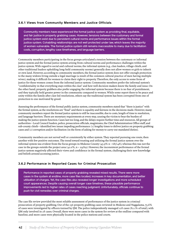#### **3.6.1 Views from Community Members and Justice Officials**

Community members have experienced the formal justice system as providing final, equitable, and fair justice in property grabbing cases. However, tensions between the customary and formal justice system exist due to persistent cultural norms and performance issues within the formal justice system. Cohabiting relationships are not well protected under law, which leaves the majority of women vulnerable. The formal justice system still remains inaccessible to many due to facilitation costs, corruption, lengthy case timeframes, and language barriers.

Community members participating in the focus groups articulated a tension between the customary or informal justice system and the formal justice system arising from cultural norms and performance challenges within the justice system. With regard to social and cultural norms, the informal system (e.g., clan leaders, village chiefs, and other traditional leaders upholding long-held community norms) generally does not allow women or girls to inherit or own land. However, according to community members, the formal justice system does not offer enough protection to the many widows living outside a legal marriage (a result of the common cultural practice of men having multiple wives), making it difficult for women to claim their right to property. Therefore, the only access to some form of justice for these women comes from the informal justice system. Community members prefer the informal system's "confidentiality in that everything stays within the clan" and how well decision-makers know the family and issue. On the other hand, property grabbers also prefer engaging the informal system because there is no fear of punishment, and they typically hold greater power in the community compared to women. While some report there to be peace and unity within the family after clan-led resolutions, others say the traditional system has been corrupted from one of protection to one motivated by greed.

Assessing the performance of the formal public justice system, community members stated that "there is justice" with the formal system, as the resolutions are "final" and there is equality and fairness in the decisions made. However, many community members report the formal justice system to still be inaccessible, due to costs, length of time to resolution, and language barriers. There are monetary requirements at every step, causing the victim to bear the burden of making the justice system function. Cases last too long, and the delays require further time and resources. All groups of authorities—Local Council leaders, police, prosecution officials, magistrates, the Chief Administration Office staff, and sub-county chiefs—identified two issues impeding performance: (1) lengthy times to deliver justice on property grabbing cases and (2) corruption and/or facilitation (in the form of asking for money to carry-out mandated duties).

Community members are not served well or consistently by either system. They reported pursuing one route, then another with few positive outcomes. The trend toward trusting and utilizing the formal justice system over the informal system was evident from the focus groups in Mukono County (45.9% n =  $68/148$ ), whereas this was not the case in the groups outside the project area (42.0%, n = 29/69). However, the inconsistent performance of the formal justice system negatively affected their views and confidence in the formal system, challenging their new knowledge and beliefs around accessing justice.

# **3.6.2 Performance in Reported Cases for Criminal Prosecution**

Performance in reported cases of property grabbing revealed mixed results. There were more cases in the system at endline, more case files located, increases in key documentation, and better utilization of charges. Yet, the case files also revealed longer investigations and more scheduled court appearances. Despite causing overall longer case timelines, these plausible performance improvements led to higher rates of cases reaching judgment. Unfortunately, officials continue to push for civil remedies over criminal charges.

The case file review provided the most reliable assessment of performance of the justice system in criminal prosecution of property grabbing. Out of the 156 property grabbing cases reviewed in Mukono and Naggalama, 75.6% of cases were investigated by officers trained by IJM. The police independently managed 128 cases (82.1% of total), with IJM only involved in 28 cases. Overall, there were more cases in the system for review at the endline compared with baseline, and more cases were physically located in the police stations and courts.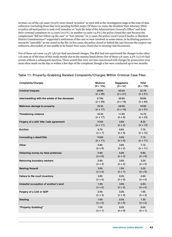In total, 120 of the 156 cases (76.9%) were closed "at police" or were still at the investigation stage at the time of data collection (including those that were pending further steps). Of these 120 cases, the Resident State Attorney (RSA) or police advised parties to seek civil remedies or "seek the help of the Administrator General's Office" and drop their criminal complaint in 24 cases (20.0%). In another 19 cases (15.8%), the police closed the case because the complainant "did not follow-up the case" or "lost interest." In 17 cases, the police, Local Council leader, or Resident District Commissioner38 supported a settlement of the case or were involved, to some extent, in facilitating parties to reconcile "amicably" as was noted in the file. In five cases, the police closed or halted the case because the suspect was unknown, absconded, or was unable to be found. Four cases closed due to missing vital documents.

Out of these 156 cases, 24.4% (38/156) had sanctioned charges. The RSA had not sanctioned the charges in the other 118 cases as of the time of this study, mostly due to the reasons listed above. Out of those 118 cases, 9.3% (11/118) had arrests without a subsequent sanction. These arrests that were not later sanctioned with charges by prosecutors were most often made on the day or within a few days of the complaint, though a few were conducted up to two months

| <b>Complaints/Charges</b>                     | <b>Mukono</b> | Naggalama  | <b>Total</b> |
|-----------------------------------------------|---------------|------------|--------------|
|                                               | $(N = 104)$   | $(N = 52)$ | $(N = 156)$  |
| <b>Criminal trespass</b>                      | 28.8%         | 40.4%      | 32.7%        |
|                                               | $(n = 30)$    | $(n = 21)$ | $(n = 51)$   |
| Intermeddling with the estate of the deceased | 27.9%         | 30.8%      | 28.8%        |
|                                               | $(n = 29)$    | $(n = 16)$ | $(n = 45)$   |
| Malicious damage to property                  | 16.3%         | 26.9%      | 19.9%        |
|                                               | $(n = 17)$    | $(n = 14)$ | $(n = 31)$   |
| <b>Threatening violence</b>                   | 16.3%         | 11.5%      | 14.7%        |
|                                               | $(n = 17)$    | $(n = 6)$  | $(n = 23)$   |
| Forgery of a will/ title / sale agreement     | 10.6%         | 3.8%       | 8.3%         |
|                                               | $(n = 11)$    | $(n = 2)$  | $(n = 13)$   |
| <b>Eviction</b>                               | 6.7%          | 9.6%       | 7.7%         |
|                                               | $(n = 7)$     | $(n = 5)$  | $(n = 12)$   |
| Concealing a deed/title                       | 10.6%         | 0.0%       | 7.1%         |
|                                               | $(n = 11)$    | $(n = 0)$  | $(n = 11)$   |
| Other                                         | 5.8%          | 3.8%       | 7.1%         |
|                                               | $(n = 9)$     | $(n = 2)$  | $(n = 11)$   |
| Obtaining money by false pretenses            | 5.8%          | 5.8%       | 5.8%         |
|                                               | $(n = 6)$     | $(n = 3)$  | $(n = 9)$    |
| Removing boundary markers                     | 2.9%          | 3.8%       | 3.2%         |
|                                               | $(n = 3)$     | $(n = 2)$  | $(n = 5)$    |
| Beating/Assault                               | 3.8%          | 1.9%       | 3.2%         |
|                                               | $(n = 4)$     | $(n = 1)$  | $(n = 5)$    |
| Failure to file court inventory               | 3.8%          | 0.0%       | 2.6%         |
|                                               | $(n = 4)$     | $(n = 0)$  | $(n = 4)$    |
| Unlawful occupation of another's land         | 1.9%          | 3.8%       | 2.6%         |
|                                               | $(n = 2)$     | $(n = 2)$  | $(n = 4)$    |
| Forgery of a LOA or GOP                       | 2.9%          | 0.0%       | 1.9%         |
|                                               | $(n = 3)$     | $(n = 0)$  | $(n = 3)$    |
| <b>Stealing</b>                               | 1.9%          | 0.0%       | 1.3%         |
|                                               | $(n = 2)$     | $(n = 0)$  | $(n = 2)$    |
| "Property Grabbing"                           | 1.0%          | 0.0%       | 0.6%         |
|                                               | $(n = 1)$     | $(n = 0)$  | $(n = 1)$    |
|                                               |               |            |              |

## Table 11: Property-Grabbing Related Complaints/Charges Within Criminal Case Files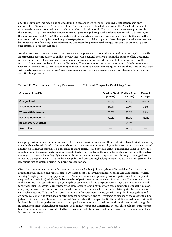after the complaint was made. The charges found in these files are found in Table 11. Note that there was only  $1$ complaint (0.6%) written as "property grabbing," which is not an official offense under the Penal Code or any other statutes—this case was opened in 2011, prior to the initial baseline study. Comparatively, there were eight cases in the baseline (11.8%) where police officers recorded "property grabbing" as the offense committed. Additionally, in the baseline study, 20.6% (14/68) of property grabbing cases had more than one charge written into the file. At the endline, this significantly increased to 40.4% (63/156) (p  $\le$  0.01). Taken together, these changes since the baseline reveal better utilization of existing laws and increased understanding of potential charges that could be asserted against perpetrators of property grabbing.

Another measure of police and court performance is the presence of proper documentation in the physical case file. In comparing baseline review to endline review, there was a general positive trend in the number of key documents present in the files. Table 12 compares documentation from baseline to endline (see Table 20 in Annex F for the full list of documents in the endline case file review). There were increases in documentation of victim statements, witness statements, and suspect statements; however, there was a decrease in charge sheets, but there were only 38 cases with sanctioned charges at endline. Since the numbers were low, the percent change on any documentation was not statistically significant.

| <b>Contents of the File</b> | <b>Baseline Total</b><br>$(N = 68)$ | <b>Endline Total</b><br>$(N = 156)$ | Percent<br>Change |
|-----------------------------|-------------------------------------|-------------------------------------|-------------------|
| <b>Charge Sheet</b>         | 27.9%                               | 21.2%                               | $-24.1%$          |
| Victim Statement(s)         | 91.2%                               | 99.4%                               | 9.0%              |
| Witness Statement(s)        | 75.0%                               | 75.6%                               | 0.8%              |
| <b>Suspect Statement(s)</b> | 50.0%                               | 66.7%                               | 33.4%             |
| <b>Documentary Evidence</b> | ---                                 | 59.0%                               | $---$             |
| <b>Sketch Plan</b>          | $- - -$                             | 16.7%                               | ---               |
|                             |                                     |                                     |                   |

## Table 12: Comparison of Key Document in Criminal Property Grabbing Files

Case progression rates are another measure of police and court performance. These indicators have limitations, as they are only able to be calculated in the cases where both the document is accessible, and its corresponding date is located and legible. While the sample size is too small to make conclusions between baseline and endline, Table 13 shows the investigations stage in property grabbing cases to be slowing over time. This could be due to a variety of both positive and negative reasons including higher standards for the cases entering the system, more thorough investigations, increased dialogue and collaboration between police and prosecutors, backlog of cases, industrial actions (strikes) by key public justice system officials including prosecutors, etc.

Given that there were no cases in the baseline that reached a final judgment, there is limited data for comparison around the prosecution and judicial stages. One data point is the average number of scheduled appearances, which was 16.3 (ranging from 4 to 29 appearances).<sup>39</sup> There was an increase, generally, in cases getting to a final judgment (acquittal or conviction), which would be a marker of performance improvement in the system. There were no cases in the baseline that reached a final judgment; three cases entered into the prosecution stage but ended in dismissal for unidentifiable reasons. Taking these three cases' average length of time from case opening to dismissal (344 days) as a proxy measure for comparison, it seems the overall time for case adjudication is relatively similar but to a more conclusive outcome. This could be a positive indicator for court performance, as with lengthier investigations and evidence collection, the court had a shorter time for adjudication and still managed to dispose of the cases with a final judgment instead of a withdrawal or dismissal. Overall, while the sample size limits the ability to make conclusions, it is plausible that investigative and judicial/court performance were on a positive trend, but this comes with lengthier investigations, more scheduled appearances, and slightly longer case timeframes overall. This could feel burdensome to justice system staff and those affected by the crime, a frustration expressed in the focus group discussions and key informant interviews.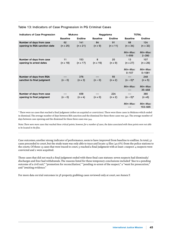# Table 13: Indicators of Case Progression in PG Criminal Cases

| <b>Indicators of Case Progression</b>                        |                  | <b>Mukono</b>     | Naggalama       |                  | <b>TOTAL</b>          |                        |
|--------------------------------------------------------------|------------------|-------------------|-----------------|------------------|-----------------------|------------------------|
|                                                              | <b>Baseline</b>  | <b>Endline</b>    | <b>Baseline</b> | <b>Endline</b>   | <b>Baseline</b>       | <b>Endline</b>         |
| Number of days from case<br>opening to RSA sanction date     | 62<br>$(n = 25)$ | 141<br>$(n = 21)$ | 84<br>$(n = 9)$ | 91<br>$(n = 11)$ | 68<br>$(n = 34)$      | 124<br>$(n = 32)$      |
|                                                              |                  |                   |                 |                  | Min-Max:<br>$1 - 559$ | Min-Max:<br>$2 - 390$  |
| Number of days from case<br>opening to arrest dates          | 11<br>$(n = 18)$ | 153<br>$(n = 17)$ | 8<br>$(n = 19)$ | 20<br>$(n = 9)$  | 13<br>$(n = 27)$      | 107<br>$(n = 26)$      |
|                                                              |                  |                   |                 |                  | Min-Max:<br>$0 - 107$ | Min-Max:<br>$0 - 1081$ |
| <b>Number of days from RSA</b><br>sanction to final judgment | $(n - 0)$        | 376<br>$(n = 3)$  | $(n - 0)$       | 55<br>$(n = 2)$  | $(n - 0)*$            | 248<br>$(n = 5)$       |
|                                                              |                  |                   |                 |                  | Min-Max:              | Min-Max:<br>$35 - 468$ |
| Number of days from case<br>opening to final judgment        | $(n - 0)$        | 458<br>$(n = 4)$  | $(n = 0)$       | 224<br>$(n = 2)$ | ---<br>$(n - 0)*$     | 380<br>$(n=6)$         |
|                                                              |                  |                   |                 |                  | Min-Max:              | Min-Max:<br>193-665    |

\* There were no cases that reached a final judgment (either an acquittal or conviction). There were three cases in Mukono which ended in dismissal. The average number of days between RSA sanction and the dismissal for these three cases was 340. The average number of days between case opening and the dismissal for these three cases was 344.

Note: *There were more cases that reached these critical points, however, for a number of cases, the dates associated with these points were not able to be located in the files.* 

Case outcomes, another strong indicator of performance, seem to have improved from baseline to endline. In total, 32 cases proceeded to court, but the study team was only able to trace and locate 13 files (40.6%) from the police stations to the courts. Of these 13 cases that were traced to court, 5 reached a final judgment with at least 1 suspect: 4 suspects were convicted and 2 were acquitted.

Those cases that did not reach a final judgment ended with these final case statuses: seven suspects had dismissals/ discharges and four had withdrawals. The reasons listed for these temporary conclusions included "due to a pending outcome of a civil suit," "promotion for reconciliation," "pending re-arrest of the suspect," a "want for prosecution," and "awaiting evidence."

For more data on trial outcomes in 58 property grabbing cases reviewed only at court, see Annex F.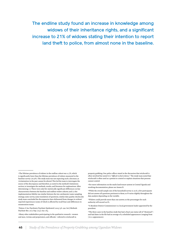The endline study found an increase in knowledge among widows of their inheritance rights, and a significant increase to 21% of widows stating their intention to report land theft to police, from almost none in the baseline.

property grabbing. One police officer stated in the discussion that witchcraft is often involved but noted it is "*difficult to find evidence.*" The study team noted that witchcraft is often used as a pretext to control or explain situations that persons cannot control.

35For more information on the mailo land tenure system in Central Uganda and resulting documentation, please see Annex B.

36While the overall sample size of the household survey is 2018, a few participants did not answer all questions pertinent to them, so N varies slightly throughout the data analysis depending on the variable.

37Widows could provide more than one answer, so the percentages for each authority will exceed 100%.

<sup>&</sup>lt;sup>32</sup>The lifetime prevalence of widows in the endline cohort was 11.7%, which is significantly lower than the lifetime prevalence of widows measured in the baseline survey (26.9%). The study team was not expecting such a decrease, as victimization in the past cannot be altered. This led the team to interrogate the source of the discrepancy and therefore, as noted in the method's limitations section, to investigate the methods, results, and literature for explanations. After determining: (1) There were only few statistically significant differences on key characteristics between the baseline and endline widow cohorts; and (2) the implementation fidelity was similar between the two catchments (same sampling strategy, same survey, same translation of questions, similar data quality checks),the study team concluded the discrepancies have delineated from changes in widows' reported experiences (some of which is affected by recall bias) and differences in enumeration teams.

<sup>33</sup>Patten, S. Soc Psychiatry Psychiatr Epidemiol (2003) 38: 290; Int J Methods Psychiatr Res. 2012 Sep; 21(3): 169–184.

<sup>34</sup>Many other stakeholders participating in the qualitative research—women and men, victims and perpetrators, and officials—referred to witchcraft in

<sup>&</sup>lt;sup>38</sup>A Resident District Commissioner is a local government leader appointed by the president.

<sup>39</sup>The three cases in the baseline study that had a final case status (all of "dismissal") and had dates in the file had an average of 9 scheduled appearances (ranging from 7 to 11 appearances).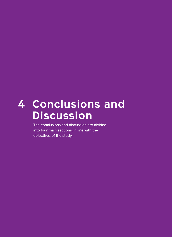# **4 Conclusions and Discussion**

The conclusions and discussion are divided into four main sections, in line with the objectives of the study.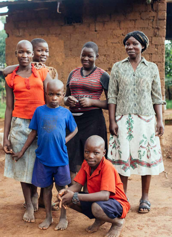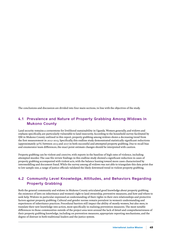The conclusions and discussion are divided into four main sections, in line with the objectives of the study.

# **4.1 Prevalence and Nature of Property Grabbing Among Widows in Mukono County**

Land security remains a cornerstone for livelihood sustainability in Uganda. Women generally, and widows and orphans specifically, are particularly vulnerable to land insecurity. According to the household survey facilitated by IJM in Mukono County outlined in this report, property grabbing among widows shows a decreasing trend from the first measurement in 2012-2013. Specifically, this endline study demonstrated statistically significant reductions (approximately 50%) between 2013 and 2017 in both successful and attempted property grabbing. Due to recall bias and enumerator team differences, the exact point estimate changes should be interpreted with caution.

Property grabbing can be violent and coercive, with reports in the baseline of high rates of violence, including attempted murder. The case file review findings in this endline study showed a significant reduction in cases of property grabbing accompanied with violent acts, with the balance leaning toward more cases characterized by intermeddling and document fraud. While the survey among all widows was not able to triangulate this data point due to low sample size, a range of justice officials validated the likely downward trend in violent property grabbing.

# **4.2 Community Level Knowledge, Attitudes, and Behaviors Regarding Property Grabbing**

Both the general community and widows in Mukono County articulated good knowledge about property grabbing, the existence of laws on inheritance and women's right to land ownership, preventive measures, and how and where to seek help. Widows in particular expressed an understanding of their rights in their own relationships and protective factors against property grabbing. Cultural and gender norms remain prevalent in women's understanding and experiences of inheritance practices. Procedural barriers still impact the ability of mostly women, but also men, to translate their new knowledge into action, most specifically in realizing prevention measures. The most notable differences in those communities outside of the project area were around the lack of detail and comprehensiveness of their property grabbing knowledge, including on prevention measures, appropriate reporting mechanisms, and the degree of distrust in both traditional leaders and the justice system.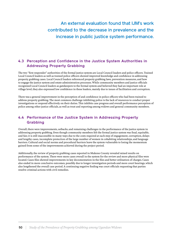An external evaluation found that IJM's work contributed to the decrease in prevalence and the increase in public justice system performance.

# **4.3 Perception and Confidence in the Justice System Authorities in Addressing Property Grabbing**

The two "first responder" authorities of the formal justice system are Local Council leaders and police officers. Trained Local Council leaders as well as trained police officers showed improved knowledge and confidence in addressing property grabbing cases. Local Council leaders referenced property grabbing laws, prevention measures, and how to engage the justice system and estate administration processes. While community members and justice officials recognized Local Council leaders as gatekeepers to the formal system and believed they had an important role at village level, they also expressed low confidence in these leaders, mainly due to issues of facilitation and corruption.

There was a general improvement in the perception of and confidence in police officers who had been trained to address property grabbing. The most common challenge inhibiting police is the lack of resources to conduct proper investigations or respond effectively on their duties. This inhibits case progress and overall performance perception of police among other justice officials, as well as trust and reporting among widows and general community members.

# **4.4 Performance of the Justice System in Addressing Property Grabbing**

Overall, there were improvements, setbacks, and remaining challenges in the performance of the justice system in addressing property grabbing. Even though community members felt the formal justice system was final, equitable, and fair, it is still inaccessible in many ways due to the costs required at each step of engagement, corruption, delays and lengthy cases, incomplete protection of the large number of women in cohabiting relationships, and language barriers. Cultural and social norms and procedural barriers leave the system vulnerable to losing the momentum gained from some of the improvements achieved during the project period.

Additionally, the review of property grabbing cases reported in Mukono County revealed mixed results on performance of the system. There were more cases overall in the system for the review and more physical files were located. Cases files showed improvements in key documentation in the files and better utilization of charges. Cases also ended in more conclusive outcomes, possibly due to longer investigation periods and more court hearings, which also lengthened the overall case period. A continuing negative finding was court officials requesting that parties resolve criminal actions with civil remedies.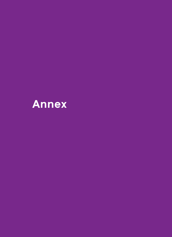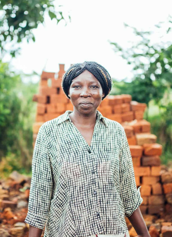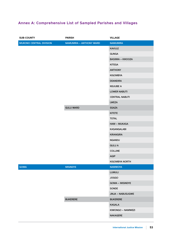# **Annex A: Comprehensive List of Sampled Parishes and Villages**

| <b>SUB-COUNTY</b>              | <b>PARISH</b>           | <b>VILLAGE</b>           |
|--------------------------------|-------------------------|--------------------------|
| <b>MUKONO CENTRAL DIVISION</b> | NAMUMIRA - ANTHONY WARD | <b>NAMUMIRA</b>          |
|                                |                         | <b>KAVULE</b>            |
|                                |                         | <b>GUNGA</b>             |
|                                |                         | <b>BASIIMA - KIKOOZA</b> |
|                                |                         | <b>KITEGA</b>            |
|                                |                         | <b>ANTHONY</b>           |
|                                |                         | <b>KIGOMBYA</b>          |
|                                |                         | <b>DDANDIRA</b>          |
|                                |                         | <b>NSUUBE A</b>          |
|                                |                         | <b>LOWER NABUTI</b>      |
|                                |                         | <b>CENTRAL NABUTI</b>    |
|                                |                         | <b>LWEZA</b>             |
|                                | <b>GULU WARD</b>        | <b>SSAZA</b>             |
|                                |                         | <b>KITETE</b>            |
|                                |                         | <b>TOTAL</b>             |
|                                |                         | <b>HAM - MUKASA</b>      |
|                                |                         | <b>KASANGALABI</b>       |
|                                |                         | <b>KIRANGIRA</b>         |
|                                |                         | <b>NGANDU</b>            |
|                                |                         | <b>GULU A</b>            |
|                                |                         | <b>COLLINE</b>           |
|                                |                         | <b>AGIP</b>              |
|                                |                         | <b>KIGOMBYA NORTH</b>    |
| <b>GOMA</b>                    | <b>MISINDYE</b>         | <b>NAMWOYA</b>           |
|                                |                         | <b>LUMULI</b>            |
|                                |                         | <b>JOGGO</b>             |
|                                |                         | <b>GOMA - MISINDYE</b>   |
|                                |                         | <b>SONDE</b>             |
|                                |                         | <b>JINJA – NABUSUGWE</b> |
|                                | <b>BUKERERE</b>         | <b>BUKERERE</b>          |
|                                |                         | <b>KAGALA</b>            |
|                                |                         | KIWONGO - NAMWEZI        |
|                                |                         | <b>NAKAGERE</b>          |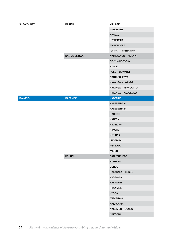| <b>SUB-COUNTY</b> | <b>PARISH</b><br><b>VILLAGE</b><br><b>NAMASIGEI</b><br><b>NYANJA</b><br><b>KYESEREKA</b> |                      |  |
|-------------------|------------------------------------------------------------------------------------------|----------------------|--|
|                   |                                                                                          |                      |  |
|                   |                                                                                          |                      |  |
|                   |                                                                                          |                      |  |
|                   |                                                                                          | <b>MAWANGALA</b>     |  |
|                   |                                                                                          | PAPPATI - NANTONKO   |  |
|                   | <b>NANTABULIRWA</b>                                                                      | NAMILYANGO - KISENYI |  |
|                   |                                                                                          | SENYI - DDEGEYA      |  |
|                   |                                                                                          | <b>KITALE</b>        |  |
|                   |                                                                                          | KOLO - BUWANYI       |  |
|                   |                                                                                          | <b>NANTABULIRWA</b>  |  |
|                   |                                                                                          | KIWANGA - LWANDA     |  |
|                   |                                                                                          | KIWANGA - MAWOOTTO   |  |
|                   |                                                                                          | KIWANGA - KASOKOSO   |  |
| <b>KYAMPISI</b>   | <b>KABEMBE</b>                                                                           | <b>KABEMBE</b>       |  |
|                   |                                                                                          | <b>KALEBEERA A</b>   |  |
|                   |                                                                                          | <b>KALEBEERA B</b>   |  |
|                   |                                                                                          | <b>KATEETE</b>       |  |
|                   |                                                                                          | <b>KATEGA</b>        |  |
|                   |                                                                                          | <b>KIKANDWA</b>      |  |
|                   |                                                                                          | <b>KIMOTE</b>        |  |
|                   |                                                                                          | <b>KIYUNGA</b>       |  |
|                   |                                                                                          | <b>LUGAMBA</b>       |  |
|                   |                                                                                          | <b>MBALIGA</b>       |  |
|                   |                                                                                          | <b>MIGGO</b>         |  |
|                   | <b>DDUNDU</b>                                                                            | <b>BANUTAKUDDE</b>   |  |
|                   |                                                                                          | <b>BUNTABA</b>       |  |
|                   |                                                                                          | <b>DUNDU</b>         |  |
|                   |                                                                                          | KALAGALA - DUNDU     |  |
|                   |                                                                                          | <b>KASAAYI A</b>     |  |
|                   |                                                                                          | <b>KASAAYI B</b>     |  |
|                   |                                                                                          | KIRYAMULI            |  |
|                   |                                                                                          | <b>KYOGA</b>         |  |
|                   |                                                                                          | <b>MISOMBWA</b>      |  |
|                   |                                                                                          | <b>NAKASAJJA</b>     |  |
|                   |                                                                                          | NAKUMBO - DUNDU      |  |
|                   |                                                                                          | <b>NAKOOBA</b>       |  |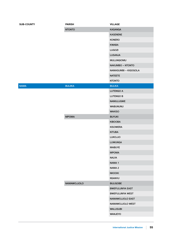| <b>SUB-COUNTY</b> | <b>PARISH</b>      | <b>VILLAGE</b>          |
|-------------------|--------------------|-------------------------|
|                   | <b>NTONTO</b>      | <b>KASANGA</b>          |
|                   |                    | <b>KASENENE</b>         |
|                   |                    | <b>KONERO</b>           |
|                   |                    | <b>KWABA</b>            |
|                   |                    | <b>LUGOZI</b>           |
|                   |                    | <b>LUSANJA</b>          |
|                   |                    | <b>MULUNGIOMU</b>       |
|                   |                    | <b>NAKUMBO - NTONTO</b> |
|                   |                    | NAMASUMBI - KIGOGOLA    |
|                   |                    | <b>NATEETE</b>          |
|                   |                    | <b>NTONTO</b>           |
| <b>NAMA</b>       | <b>BULIIKA</b>     | <b>BULIKA</b>           |
|                   |                    | <b>LUTENGO A</b>        |
|                   |                    | <b>LUTENGO B</b>        |
|                   |                    | <b>NAMULUGWE</b>        |
|                   |                    | <b>WABUNUNU</b>         |
|                   |                    | <b>WAKISO</b>           |
|                   | <b>MPOMA</b>       | <b>BUYUKI</b>           |
|                   |                    | KIBOOBA                 |
|                   |                    | <b>KISOWERA</b>         |
|                   |                    | <b>KITUBA</b>           |
|                   |                    | <b>LUKOJJO</b>          |
|                   |                    | <b>LUWUNGA</b>          |
|                   |                    | <b>MABUYE</b>           |
|                   |                    | <b>MPOMA</b>            |
|                   |                    | <b>NALYA</b>            |
|                   |                    | NAMA <sub>1</sub>       |
|                   |                    | <b>NAMA 2</b>           |
|                   |                    | <b>NKOOKI</b>           |
|                   |                    | <b>NSANVU</b>           |
|                   | <b>NAMAWOJJOLO</b> | <b>BULIGOBE</b>         |
|                   |                    | <b>BWEFULUMYA EAST</b>  |
|                   |                    | <b>BWEFULUMYA WEST</b>  |
|                   |                    | NAMAWOJJOLO EAST        |
|                   |                    | NAMAWOJJOLO WEST        |
|                   |                    | <b>WALUSUBI</b>         |
|                   |                    | <b>WANJEYO</b>          |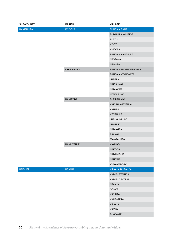| <b>SUB-COUNTY</b> | <b>PARISH</b>    | <b>VILLAGE</b>               |
|-------------------|------------------|------------------------------|
| <b>NAKISUNGA</b>  | <b>KIYOOLA</b>   | <b>SUNGA - BANA</b>          |
|                   |                  | <b>BUMBUJJA - MBEYA</b>      |
|                   |                  | <b>BUZZU</b>                 |
|                   |                  | <b>KISOZI</b>                |
|                   |                  | <b>KIYOOLA</b>               |
|                   |                  | <b>BANDA - NANTUULA</b>      |
|                   |                  | <b>NASSAKA</b>               |
|                   |                  | <b>NSONGA</b>                |
|                   | <b>KYABALOGO</b> | <b>BANDA - BUGENDERADALA</b> |
|                   |                  | <b>BANDA - KYANDAAZA</b>     |
|                   |                  | <b>LUSERA</b>                |
|                   |                  | <b>NAKISUNGA</b>             |
|                   |                  | NAMAKWA                      |
|                   |                  | <b>NTAKAFUNVU</b>            |
|                   | <b>NAMAYIBA</b>  | <b>BUZIRANJOVU</b>           |
|                   |                  | KAKUBA - KIYANJA             |
|                   |                  | <b>KATUBA</b>                |
|                   |                  | <b>KITYABULE</b>             |
|                   |                  | LUBUGUMU LC1                 |
|                   |                  | <b>LUWULE</b>                |
|                   |                  | <b>NAMAYIBA</b>              |
|                   |                  | <b>SSANGA</b>                |
|                   |                  | <b>MANGALUBA</b>             |
|                   | <b>NAMUYENJE</b> | <b>KIWUGO</b>                |
|                   |                  | <b>NAKOOSI</b>               |
|                   |                  | <b>NAMUYENJE</b>             |
|                   |                  | <b>NANGWA</b>                |
|                   |                  | <b>KYAWAMBOGO</b>            |
| <b>NTENJERU</b>   | <b>NSANJA</b>    | KIZAALA BUGANDA              |
|                   |                  | <b>KATOSI BWANGA</b>         |
|                   |                  | <b>KATOSI CENTRAL</b>        |
|                   |                  | <b>NSANJA</b>                |
|                   |                  | <b>GONVE</b>                 |
|                   |                  | <b>KIKUUTA</b>               |
|                   |                  | KALENGERA                    |
|                   |                  | <b>KIZAALA</b>               |
|                   |                  | <b>KIKONA</b>                |
|                   |                  | <b>BUGONGE</b>               |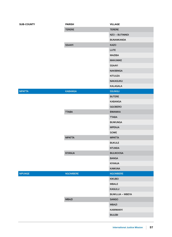| <b>SUB-COUNTY</b> | <b>PARISH</b>   | <b>VILLAGE</b>         |  |
|-------------------|-----------------|------------------------|--|
|                   | <b>TERERE</b>   | <b>TERERE</b>          |  |
|                   |                 | NZO - BUTININDI        |  |
|                   |                 | <b>BUNANKANDA</b>      |  |
|                   | <b>SSAAYI</b>   | <b>KAZO</b>            |  |
|                   |                 | <b>LUTE</b>            |  |
|                   |                 | <b>MAZIBA</b>          |  |
|                   |                 | <b>MAVUNIKE</b>        |  |
|                   |                 | <b>SSAAYI</b>          |  |
|                   |                 | <b>NAKIBINGA</b>       |  |
|                   |                 | <b>KITUUZA</b>         |  |
|                   |                 | <b>NAKASUKU</b>        |  |
|                   |                 | KALAGALA               |  |
| <b>MPATTA</b>     | <b>KABANGA</b>  | <b>SSUNGU</b>          |  |
|                   |                 | <b>BUTERE</b>          |  |
|                   |                 | <b>KABANGA</b>         |  |
|                   |                 | <b>GGOBERO</b>         |  |
|                   | <b>TTABA</b>    | <b>BWANIKA</b>         |  |
|                   |                 | <b>TTABA</b>           |  |
|                   |                 | <b>BUWUNGA</b>         |  |
|                   |                 | <b>MPENJA</b>          |  |
|                   |                 | <b>SOWE</b>            |  |
|                   | <b>MPATTA</b>   | <b>MPATTA</b>          |  |
|                   |                 | <b>BUKULE</b>          |  |
|                   |                 | <b>NTUNDA</b>          |  |
|                   | <b>KIYANJA</b>  | <b>BULIKOOSA</b>       |  |
|                   |                 | <b>BANGA</b>           |  |
|                   |                 | KIYANJA                |  |
|                   |                 | <b>KAWUNA</b>          |  |
| <b>MPUNGE</b>     | <b>NGOMBERE</b> | <b>NGOMBERE</b>        |  |
|                   |                 | <b>KIKUBO</b>          |  |
|                   |                 | <b>MBALE</b>           |  |
|                   |                 | <b>KAGULU</b>          |  |
|                   |                 | <b>BUWUJJA - MBEYA</b> |  |
|                   | <b>MBAZI</b>    | <b>SANGO</b>           |  |
|                   |                 | <b>MBAZI</b>           |  |
|                   |                 | <b>KAMWANYI</b>        |  |
|                   |                 | <b>BULEBI</b>          |  |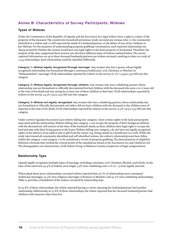# **Annex B: Characteristics of Survey Participants, Widows**

## **Types of Widows**

Under the Constitution of the Republic of Uganda and the Succession Act, legal widows have a right to a share of the property of the deceased. The countywide household prevalence study surveyed any woman who: (1) the community identified as a widow and (2) self-reported the death of a husband/partner or the father of one of her children in her lifetime. For the purposes of understanding property grabbing victimization, each reported relationship was characterized by whether the woman would have any legal rights to the land, property, or homestead. Therefore, the analysis of the data categorized these women into the three different types of widows outlined below. The survey captured information on up to three deceased husbands/partners per widow surveyed, resulting in data on a total of 2,253 relationships. Each relationship could be classified differently.

**Category 1—Widow legally recognized through marriage:** Any woman who lost a spouse, whose legally recognized relationship was formalized through a customary/traditional, civil, Christian, or Muslim (or "Mohammedan") marriage. Of all relationships reported by widows in the survey, 62.1% (1,399/2,253) fell into this category.

**Category 2—Widow legally recognized through children:** Any woman who lost a cohabiting partner whose relationship was not formalized or officially documented but had children with the deceased who were 0 to 17 years old at the time of his death and was caring for at least one of these children at that time. Of all relationships reported by widows in the survey,  $24.5\%$  ( $551/2,253$ ) fell into this category.

**Category 3—Widow not legally recognized:** Any woman who lost a cohabiting partner, whose relationship was not formalized or officially documented, *and* either did not have children with the deceased or the children were of majority at the time of his death. Of all relationships reported by widows in the survey, 13.4% (303/2,253) fell into this category.

Under current Ugandan Succession Law, widows falling into category 1 have certain rights to the land and property associated with the relationship. Widows falling into category 2 can occupy the property if their biological children with the deceased are still minors at the time of the husband's death, as these children have legal right to occupy the land and stay with their living parent in the home. Widows falling into category 3 do not have *any* legally recognized rights in the absence of an explicit sale or gift from the owner (e.g., being named as a beneficiary in a will). While the study interviewed all community-identified and self-identified widows, the widow's relationship must have fallen within the category 1 and category 2 to be considered a victim of property grabbing. The determination of eligibility followed a formula that verified the critical points of the stipulations found in the Succession Act and Children's Act. The demographics are characteristic of all widows living in Mukono County, irrespective of legal categorization.

# **Relationship Type**

Uganda legally recognizes multiple types of marriage, including customary, civil, Christian, Muslim, and Hindu. At the time of the interview, 94.4% of widows were single, 5.5% were cohabiting, and  $0.1\%$  (n = 3) were legally married.

When asked about prior relationships, surveyed widows reported that 46.1% of relationships were customary/ traditional marriages, 20.4% were religious marriages (Christian or Muslim), and 30.2% were cohabiting relationships. Table 14 provides a breakdown of the widows surveyed by relationship type.

In 63.8% of these relationships, the widow reported having co-wives, meaning her husband/partner had another relationship. Additionally, in 72.8% of these relationships, the widow reported that her deceased husband/partner had children with someone other than her.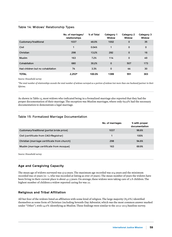# Table 14: Widows' Relationship Types

|                                  | No. of marriages/<br>relationships | % of Total | Category 1<br><b>Widow</b> | Category 2<br>Widow | Category 3<br><b>Widow</b> |
|----------------------------------|------------------------------------|------------|----------------------------|---------------------|----------------------------|
| Customary/traditional            | 1037                               | 46.0%      | 1002                       | $\mathbf 0$         | 35                         |
| Civil                            | 1                                  | 0.04%      | 1                          | $\mathbf 0$         | 0                          |
| Christian                        | 298                                | 13.2%      | 282                        | $\Omega$            | 16                         |
| <b>Muslim</b>                    | 163                                | 7.2%       | 114                        | $\Omega$            | 49                         |
| Cohabitation                     | 680                                | 30.2%      | $\Omega$                   | 507                 | 173                        |
| Had children but no cohabitation | 74                                 | 3.3%       | $\mathbf 0$                | 44                  | 30                         |
| <b>TOTAL</b>                     | 2,253*                             | 100.0%     | 1399                       | 551                 | 303                        |

*Source: Household survey*

*\*The total number of relationships exceeds the total number of widows surveyed as a portion of widows lost more than one husband/partner in their lifetime.*

As shown in Table 15, most widows who indicated being in a formalized marriage also reported that they had the proper documentation of their marriage. The exception was Muslim marriages, where only 69.9% had the necessary documentation to demonstrate a legal marriage.

## Table 15: Formalized Marriage Documentation

|                                              | No. of marriages | % with proper<br>documentation |
|----------------------------------------------|------------------|--------------------------------|
| Customary/traditional (partial bride price)  | 1037             | 96.6%                          |
| Civil (certificate from CAO/Registrar)       |                  | 100%                           |
| Christian (marriage certificate from church) | 298              | 94.6%                          |
| Muslim (marriage certificate from mosque)    | 163              | 69.9%                          |

*Source: Household survey*

# **Age and Caregiving Capacity**

The mean age of widows surveyed was 57.9 years. The maximum age recorded was 104 years and the minimum recorded was 16 years (n = 1, who was recorded at listing as over 18 years). The mean number of years the widows have been living in their current place is about 41.3 years. On average, these widows were taking care of 2.8 children. The highest number of children a widow reported caring for was 22.

# **Religious and Tribal Affiliation**

All but four of the widows listed an affiliation with some kind of religion. The large majority (85.6%) identified themselves as some form of Christian (including Seventh-Day Adventist, which was the most common answer marked under "Other"), with 14.0% identifying as Muslim. These findings were similar to the 2012-2013 baseline survey.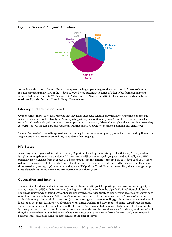### Figure 7: Widows' Religious Affiliation



As the Buganda (tribe in Central Uganda) composes the largest percentage of the population in Mukono County, it is not surprising that 71.4% of the widows surveyed were Buganda.40 A range of other tribes from Uganda were represented in the county (3.8% Busoga, 1.5% Ankole, and 14.4% other), and 8.7% of widows surveyed came from outside of Uganda (Burundi, Rwanda, Kenya, Tanzania, etc.).

# **Literacy and Education Level**

Over one-fifth (21.6%) of widows reported that they never attended a school. Nearly half (47.9%) completed some but not all of primary school, with only 12.9% completing primary school. Similarly, 10.0% completed some but not all of secondary O level (S1–S4), with another 3.6% completing all of secondary O level. Only 0.4% widows completed secondary A level (S5–S6). Of the rest, 1.9% had vocational training, and 1.4% of widows completed diploma/university level.

In total, 60.7% of widows' self-reported reading literacy in their mother tongue, 15.7% self-reported reading literacy in English, and 38.2% reported an inability to read in either language.

## **HIV Status**

According to the Uganda AIDS Indicator Survey Report published by the Ministry of Health (2011), "HIV prevalence is highest among those who are widowed." In 2016–2017, 7.6% of women aged 15–64 years old nationally were HIV positive.41 However, data from 2011 reveals a higher prevalence rate among women: 32.4% of widows aged 15–49 years old were HIV positive.42 In this study, 62.0% of widows (1251/2017) reported that they had been tested for HIV, and of those tested, 21.9% (274/1251) reported that they were HIV positive. The difference is most likely due to the age range, as it's plausible that more women are HIV positive in their later years.

#### **Occupation and Income**

The majority of widows held primary occupations in farming, with 36.8% reporting either farming crops (33.2%) or raising livestock (3.6%) as their livelihood (see Figure 8). This is lower than the Uganda National Household Survey 2009/2010 reports, which found 65% of households involved in agricultural activity, perhaps because of the proximity of Mukono County to Kampala.43 About 15.2% of widows reported that they were involved in "business," with only 3.0% of those requiring a skill for operation (such as tailoring) as opposed to selling goods or products via market stall, kiosk, or by the roadside. Only 1.9% of widows were salaried workers and 8.0% reported being "casual/wage laborers." In the baseline study, a little more than one-third reported "no income" but then provided amounts for the monthly income question. In preparation for the endline study, the study team learned these were "hand-outs/remittances" and thus, the answer choice was added; 23.5% of widows selected this as their main form of income. Only 1.8% reported being unemployed and looking for employment at the time of survey.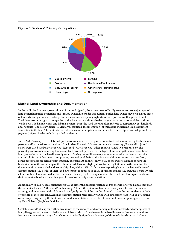Figure 8: Widows' Primary Occupation



# **Marital Land Ownership and Documentation**

In the mailo land tenure system adopted in central Uganda, the government officially recognizes two major types of land ownership: titled ownership and kibanja ownership. Under this system, a titled land owner may own a large piece of land, while any number of kibanja holders may own occupancy rights to certain portions of that piece of land. The kibanja owner's right to occupy the land is hereditary and can also be assigned with the consent of the landlord. While both titled land owners and kibanja owners "own" the land, they are often referred to respectively as "landlords" and "tenants." The best evidence (i.e., legally recognized documentation) of titled land ownership is a government issued title to the land. The best evidence of kibanja ownership is a busuulu ticket (i.e., a receipt of annual ground rent payment) signed by the underlying titled land owner.

In 79.9% (1,801/2,25344) of relationships, the widows reported living on a homestead that was owned by the husband/ partner and/or the widow at the time of the husband's death. Of those homesteads owned, 73.5% were kibanja and 16.9% were titled land (1.2% reported "leasehold"; 5.4% reported "other"; and 3.0% had "No response").45 The percentage of widows reporting homestead land ownership, as well as the types of ownership (kibanja versus titled land), were similar to the baseline study results. During the endline survey, enumerators asked widows to describe any and all forms of documentation proving ownership of their land. Widows could report more than one form, so the percentages reported are not mutually exclusive. At endline, only 35.6% of the widows claimed to have the best evidence of the ownership of their homestead. This was slightly down from 39.3%. Similar to the baseline, the documentation rates varied with ownership class, with 54.8% of title owners reporting having the best evidence of documentation (i.e., a title) of their land ownership, as opposed to 31.1% of kibanja owners (i.e., busuulu tickets). While a low number of kibanja holders had the best evidence, 50.3% of couple relationships had purchase agreements for their homesteads, which is another good form of ownership documentation.

Additionally, in 24.0% of all relationships (469), either the husband/partner and/or the widow owned land other than the homestead (called "other land" in this study). These other pieces of land were mostly used for cultivation and farming, and most were held as kibanja. In total, only 30.4% of the couples claimed to have the best evidence of their ownership of the other land. Again, the documentation rates greatly varied with ownership class, with 80.2% of title owners reporting having the best evidence of documentation (i.e., a title) of their land ownership, as opposed to only 19.6% of kibanja (i.e., busuulu tickets).

See Table 16 and Table 17 for further breakdown of the widow's land ownership of the homestead and other pieces of land, disaggregated between titled land and kibanja. Most of the changes from baseline to endline were reductions in any documentation, many of which were statistically significant. However, of those relationships that had any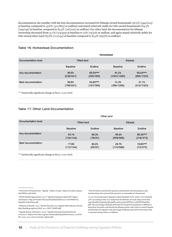documentation, the number with the best documentation increased for kibanja-owned homesteads (38.5% [394/1023] at baseline compared to 47.6% [412/865] at endline) and stayed relatively stable for title-owned homesteads (84.3% [199/236] at baseline compared to 83.5% [167/200] at endline). For other land, the documentation for kibanja ownership decreased from 31.1% (174/559) at baseline to 23% (73/318) at endline, and again stayed relatively stable for title-owned other land  $(83.6\%$  [112/134] at baseline compared to  $83.3\%$  [65/78] at endline).

#### Table 16: Homestead Documentation

|                     | Homestead          |                       |                      |                        |  |  |
|---------------------|--------------------|-----------------------|----------------------|------------------------|--|--|
| Documentation level |                    | Titled land           |                      | Kibanja                |  |  |
|                     | <b>Baseline</b>    | Endline               | <b>Baseline</b>      | Endline                |  |  |
| Any documentation   | 95.5%<br>(236/247) | 65.5%***<br>(200/305) | 81.2%<br>(1023/1260) | 65.4%***<br>(865/1323) |  |  |
| Best documentation  | 80.6%<br>(199/247) | 54.8%***<br>(167/305) | 31.3%<br>(394/1260)  | 31.1%<br>(412/1323)    |  |  |

\*\*\* Statistically significant change at the p ≤ 0.001 level.

# Table 17: Other Land Documentation

|                     |                    | Other land       |                    |                        |  |  |
|---------------------|--------------------|------------------|--------------------|------------------------|--|--|
| Documentation level | <b>Titled land</b> |                  |                    | Kibanja                |  |  |
|                     | <b>Baseline</b>    | Endline          | <b>Baseline</b>    | Endline                |  |  |
| Any documentation   | 93.1%<br>(134/144) | 96.3%<br>(78/81) | 95.4%<br>(559/586) | 85.3%***<br>(318/373)  |  |  |
| Best documentation  | 77.8%<br>(112/144) | 80.2%<br>(65/81) | 29.7%<br>(174/586) | $19.6%***$<br>(73/373) |  |  |

\*\*\* Statistically significant change at the p < 0.001 level.

44Not all widows answered the question and therefore, the denominator only includes those who answered the question on ownership of a homestead.

4531.4% of tenured land in Uganda is titled (freehold 18.6%, mailo 9.2%, leasehold 3.6%) according to this 2010 study from the Ministry of Lands: http://www.ubos. org/onlinefiles/uploads/ubos/pdf%20documents/PNSD/2010MLHUDStatAbst. pdf). The percentage of kibanja-held land for the general population is difficult to determine, but mailo, and thereby the kibanja system, only exists in central Uganda and therefore the Uganda-wide percentage of kibanja land will be lower than what is reported among widows in Mukono.

<sup>40</sup>University of Pennsylvania. "Uganda – Ethnic Groups." http://www.africa.upenn. edu/NEH/u-ethn.html.

<sup>41</sup>World Health Organization. (2017) "Uganda Population-Based HIV Impact Assessment." http://www.afro.who.int/sites/default/files/2017-08/UPHIA%20 Uganda%20factsheet.pdf.

<sup>42</sup>Ministry of Health. (2011) "Results from the 2011 Uganda AIDS Indicator Survey." http://health.go.ug/docs/UAIS\_2011\_FACT\_SHEET.pdf.

<sup>43</sup>Uganda Bureau of Statistics. (2010) "Uganda National Household Survey 2009/2010." https://www.ubos.org/wp-content/uploads/publications/03\_2018UN HS\_2009\_2010\_socio-economic\_Report.pdf.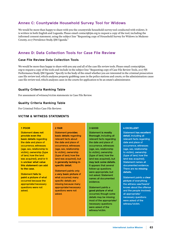# **Annex C: Countywide Household Survey Tool for Widows**

We would be more than happy to share with you the countywide household survey tool conducted with widows. It is written in both English and Luganda. Please email contact@ijm.org to request a copy of the tool, including the informed consent statement, using the subject line "Requesting copy of Household Survey for Widows in Mukono County, 2017 Prevalence Study, IJM Uganda."

# **Annex D: Data Collection Tools for Case File Review**

## **Case File Review Data Collection Tools**

We would be more than happy to share with you any and all of the case file review tools. Please email contact@ijm. org to request a copy of the tools and include in the subject line "Requesting copy of Case File Review Tools, 2017 PJS Performance Study, IJM Uganda." Specify in the body of the email whether you are interested in the criminal prosecution case file review tool, which analyzes property grabbing cases in the police stations and courts, or the administration cause case file review tool, which analyzes cases in the courts for application to be an estate's administrator.

#### **Quality Criteria Ranking Table**

For assessment of witness/victim statements in Case File Review.

## **Quality Criteria Ranking Table**

For Criminal Police Case File Reviews

## **VICTIM & WITNESS STATEMENTS**

#### **1 POOR**

Statement **does not provide even the basic details** regarding the date and place of occurrence, witnesses (age, sex, relationship to victim), ownership (type of land, how the land was acquired), and/or it is **unclear what value this statement can add to the case.**

Statement **fails to paint a picture** of what occurred because the appropriate/necessary questions were not asked.

#### **2 FAIR**

Statement **provides basic details** regarding relevant facts about the date and place of occurrence, witnesses (age, sex, relationship to victim), ownership (type of land, how the land was acquired), but is **generally lacking in specific detail.**

Statement paints only a **very basic picture** of what occurred; many specific details are missing because many appropriate/necessary questions were not asked.

#### **3 GOOD**

Statement **is mostly thorough**, including all relevant facts regarding the date and place of occurrence, witnesses (age, sex, relationship to victim), ownership (type of land, how the land was acquired), but **may lack some details**. It appears that several follow-up questions were appropriate, but not asked. Statement names all documented evidence.

Statement paints a **good picture** of what occurred, though some details may be missing; most of the appropriate/ necessary questions were asked of the witness/victim.

#### **4 EXCELLENT**

Statement **has excellent detail**, including all relevant facts regarding date and place of occurrence, witnesses (age, sex, relationship to victim), ownership (type of land, how the land was acquired). Statement names all documented evidence. There are **no missing details.**

Statement paints a **clear picture** of everything the witness saw/heard/ knows about the offense and the people involved; all appropriate/ necessary questions were asked of the witness/victim.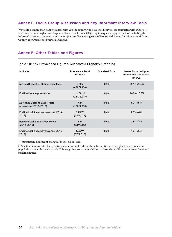# **Annex E: Focus Group Discussion and Key Informant Interview Tools**

We would be more than happy to share with you the countywide household survey tool conducted with widows. It is written in both English and Luganda. Please email contact@ijm.org to request a copy of the tool, including the informed consent statement, using the subject line "Requesting copy of Household Survey for Widows in Mukono County, 2017 Prevalence Study, IJM Uganda."

# **Annex F: Other Tables and Figures**

| <b>Indicator</b>                                                     | <b>Prevalence Point</b><br><b>Estimate</b> | <b>Standard Error</b> | Lower Bound - Upper<br><b>Bound 95% Confidence</b><br><b>Interval</b> |
|----------------------------------------------------------------------|--------------------------------------------|-----------------------|-----------------------------------------------------------------------|
| Revised & Baseline lifetime prevalence                               | 27.0%<br>(488/1,806)                       | 0.9%                  | $25.1 - 28.8%$                                                        |
| Endline lifetime prevalence                                          | $11.7%***$<br>(237/2,018)                  | 0.6%                  | $10.5 - 13.0%$                                                        |
| Revised <sup>o</sup> Baseline Last 4 Years<br>prevalence (2010-2013) | 7.3%<br>(132/1,806)                        | 0.6%                  | $6.3 - 8.7%$                                                          |
| Endline Last 4 Years prevalence (2014-<br>2017)                      | $3.4%***$<br>(68/2,018)                    | 0.4%                  | $2.7 - 4.0%$                                                          |
| Baseline Last 2 Years Prevalence<br>$(2012 - 2013)$                  | 3.5%<br>(63/1,806)                         | 0.4%                  | $2.6 - 4.4%$                                                          |
| Endline Last 2 Years Prevalence (2016-<br>2017)                      | $1.8\%***$<br>(37/2,018)                   | 0.3%                  | $1.2 - 2.4%$                                                          |

# Table 18: Key Prevalence Figures, Successful Property Grabbing

\*\*\* Statistically significant change at the p ≤ 0.001 level.

◊ To better demonstrate change between baseline and endline, the sub-counties were weighted based on widow population size within each parish. This weighting exercise in addition to formula recalibrations created "revised" baseline figures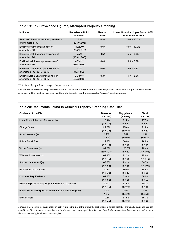| Indicator                                                       | <b>Prevalence Point</b><br><b>Estimate</b> | <b>Standard</b><br>Error | Lower Bound - Upper Bound 95%<br><b>Confidence Interval</b> |
|-----------------------------------------------------------------|--------------------------------------------|--------------------------|-------------------------------------------------------------|
| Revised & Baseline lifetime prevalence<br>of attempted PG       | 16.2%<br>(294/1,806)                       | 0.8%                     | $14.6 - 17.7%$                                              |
| Endline lifetime prevalence of<br>attempted PG                  | $11.7%***$<br>(236/2,018)                  | 0.6%                     | $10.5 - 13.0%$                                              |
| Baseline Last 4 Years prevalence of<br>attempted PG             | 7.7%<br>(139/1,806)                        | 0.6%                     | $6.6 - 8.8%$                                                |
| Endline Last 4 Years prevalence of<br>attempted PG              | $4.7%***$<br>(95/2,018)                    | 0.4%                     | $3.9 - 5.5%$                                                |
| Baseline Last 2 Years prevalence of<br>attempted PG (2012–2013) | 4.9%<br>(89/1, 806)                        | 0.5%                     | $3.9 - 5.8%$                                                |
| Endline Last 2 Years prevalence of<br>attempted PG (2016-2017)  | $2.3%***$<br>(47/2.018)                    | 0.3%                     | $1.7 - 3.0%$                                                |

## Table 19: Key Prevalence Figures, Attempted Property Grabbing

\*\*\* Statistically significant change at the p ≤ 0.001 level.

◊ To better demonstrate change between baseline and endline, the sub-counties were weighted based on widow population size within each parish. This weighting exercise in addition to formula recalibrations created "revised" baseline figures.

| <b>Contents of the File</b>                                 | <b>Mukono</b> | Naggalama  | Total       |
|-------------------------------------------------------------|---------------|------------|-------------|
|                                                             | $(N = 104)$   | $(N = 52)$ | $(N = 156)$ |
| <b>Local Council Letter of Introduction</b>                 | 15.4%         | 21.2%      | 17.3%       |
|                                                             | $(n = 16)$    | $(n = 11)$ | $(n = 27)$  |
| <b>Charge Sheet</b>                                         | 24.0%         | 15.4%      | 21.2%       |
|                                                             | $(n = 25)$    | $(n = 8)$  | $(n = 33)$  |
| Arrest Warrant(s)                                           | 1.9%          | 0.0%       | 1.3%        |
|                                                             | $(n = 2)$     | $(n = 0)$  | $(n = 2)$   |
| Police Bond Form                                            | 17.3%         | 50.0%      | 28.2%       |
|                                                             | $(n = 18)$    | $(n = 26)$ | $(n = 44)$  |
| Victim Statement(s)                                         | 99.0%         | 100.0%     | 99.4%       |
|                                                             | $(n = 103)$   | $(n = 52)$ | $(n = 155)$ |
| Witness Statement(s)                                        | 67.3%         | 92.3%      | 75.6%       |
|                                                             | $(n = 70)$    | $(n = 48)$ | $(n = 118)$ |
| Suspect Statement(s)                                        | 63.5%         | 73.1%      | 66.7%       |
|                                                             | $(n = 66)$    | $(n = 38)$ | $(n = 104)$ |
| Brief Facts of the Case                                     | 30.8%         | 25.0%      | 28.8%       |
|                                                             | $(n = 32)$    | $(n = 13)$ | $(n = 45)$  |
| <b>Documentary Evidence</b>                                 | 61.5%         | 53.8%      | 59.0%       |
|                                                             | $(n = 64)$    | $(n = 28)$ | $(n = 92)$  |
| <b>Exhibit Slip Describing Physical Evidence Collection</b> | 9.6%          | 11.5%      | 10.3%       |
|                                                             | $(n = 10)$    | $(n = 6)$  | $(n = 16)$  |
| Police Form 3 (Request & Medical Examination Report)        | 1.9%          | 0.0%       | 1.3%        |
|                                                             | $(n = 2)$     | $(n = 0)$  | $(n = 2)$   |
| <b>Sketch Plan</b>                                          | 19.2%         | 11.5%      | 16.7%       |
|                                                             | $(n = 20)$    | $(n = 6)$  | $(n = 26)$  |

# Table 20: Documents Found in Criminal Property Grabbing Case Files

Note: *This table shows the documents physically found in the files at the time of the endline review, disaggregated by station. If a document was not found in the file, it does not necessarily mean the document was not completed for that case. Overall, the statements and documentary evidence were the most commonly found items across the files.*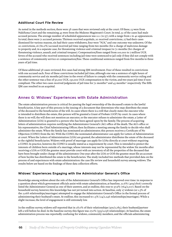## **Additional Court File Review**

As noted in the methods section, there were 58 cases that were reviewed only at the court. Of these, 13 were from Nakifuma Court and the remaining 45 were from the Mukono Magistrate's Court. In total, 51 of the cases had male accused persons. The average number of scheduled appearances was 12.1 (n=57), with a range from 1 to 40 appearances. In total, there were 71 accused persons. Thirteen received acquittals, 20 received convictions, 27 had their cases dismissed for various reasons, six had their cases withdrawn, four were "N/A," and one outcome was unknown. Of the 20 convictions, 16 (80.0%) accused received jail time ranging from two months (for a charge of malicious damage to property and, in a separate case, for threatening violence and criminal trespass) to 72 months (for charges of threatening violence, assault, and criminal trespass). Compensation/fines ranged from 100,000 to 7 million UGX. Seven of the accused who received sentences including jail time were sentenced to jail only if they did not comply with a sentence of community service or compensation/fine. These conditional sentences ranged from five months to three years of jail time.

Of these additional 58 cases reviewed, five cases had strong IJM involvement. Four of these resulted in convictions with one accused each. Four of these convictions included jail time, although one was a sentence of eight hours of community service and six months jail time in the event of failure to comply with the community service ruling and the other sentence was a fine of 50,000 UGX, 150,000 UGX compensation to the victim, and two years jail time if noncompliant. The other two cases received judgments of jail time for 72 months<sup>46</sup> and 43 months<sup>47</sup> respectively. The fifth IJM case resulted in an acquittal.

# **Annex G: Widows' Experiences with Estate Administration**

The estate administration process is critical for passing the legal ownership of the deceased's estate to the lawful beneficiaries. A key part of this process is the issuing of a document that determines who may distribute the estate of the deceased to the beneficiaries of the will. In cases where there is a will that clearly states the executor who is intended to distribute the estate, this person will be granted a Grant of Probate (GOP) by court. In cases where there is no will, the will does not mention an executor, or the executor refuses to administer the estate, a Letter of Administration (LOA) is granted to a person who has been agreed upon by the family. The process of acquiring letters of administration requires notifying the Administrator General's (AG) office of the death. The AG's office or his representative, the Chief Administrating Officer, then facilitates a meeting among the family to decide who shall administer the estate. When the family has nominated an administrator, this person receives a Certificate of No Objection (CONO) from the AG. With the CONO, the nominated administrator can apply for Letters of Administration at court. When the Letters of Administration (LOA) are granted, the administrator distributes the estate of the deceased to the rightful beneficiaries. Widows with proof of marriage can apply for LOAs directly at court without requiring a CONO. In practice, however, the CONO is usually stated as a requirement by court. This is intended to protect the interests of children born outside of a marriage, whose interests may not be represented by the widow. Six months after receiving a LOA or GOP, the grantee must provide court with an inventory of all the properties of the deceased that have been brought under charge of the administrator. One year after the LOA or GOP, the grantee must file an account of how he/she has distributed the estate to the beneficiaries. The study included two methods that provided data on the process of and experiences with estate administration: the case file review and household survey among widows. The results below are based on the findings of these data collection efforts.

# **Widows' Experiences Engaging with the Administrator General's Office**

Knowledge among widows about the role of the Administrator General's Office has improved over time: in response to a question about which government officials assist with estate administration, at baseline, 22.6% (409/1806) correctly listed the Administrator General as one of their answers, and at endline, this rose to 37.9% (764/2,017). Based on the household survey, however, this knowledge has not yet turned into action. At baseline, only 27 widows (or 1.3% of the 2,068 relationships/marriages) attempted to engage the Administrator General's Office in the formal process of administering their husband's estate. At endline, this increased to 1.5% (24/2,246 relationships/marriages). While a slight increase, the level of engagement is still extremely low.

In the endline survey, widows self-reported that in 28.0% of their relationships (500/1,785), their husband/partner left a will before he died. In the baseline survey, this figure was 27.0% (555/2,058 relationships). At baseline, the estate administration process was reportedly confusing for widows, community members, and the officials administering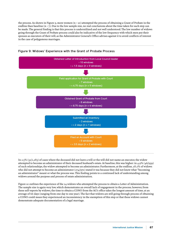the process. As shown in Figure 9, more women  $(n = 10)$  attempted the process of obtaining a Grant of Probate in the endline than baseline (n = 7). Due to the low sample size, no real conclusions about the time taken for each step can be made. The general finding is that this process is underutilized and not well understood. The low number of widows going through the Grant of Probate process could also be indicative of the low frequency with which men put their spouses as executors of their will, as the Administrator General's Office advises against it to avoid conflicts of interest in the case of polygamous marriages.



# Figure 9: Widows' Experience with the Grant of Probate Process

In 2.5% (32/1,283) of cases where the deceased did not leave a will or the will did not name an executor, the widow attempted to become an administrator of their deceased husband's estate. At baseline, this was higher: in 4.9% (46/939) of such relationships, the widow attempted to become an administrator. Furthermore, at the endline, 28.2% of widows who did not attempt to become an administrator ( $274/970$ ) stated it was because they did not know what "becoming an administrator" meant or what the process was. This finding points to a continued lack of understanding among widows around the purpose and process of estate administration.

Figure 10 outlines the experience of the 24 widows who attempted the process to obtain a Letter of Administration. The sample size is again very low, which demonstrates an overall lack of engagement in the process; however, from these self-reports by widows, the time to obtain a CONO from the AG's office takes the longest amount of time, at an average of 66 days (ranging from one day to one year). The fact that widows are still going through process of obtaining a CONO could mean they experienced an inconsistency in the exemption of this step or that these widows cannot demonstrate adequate documentation of a legal marriage.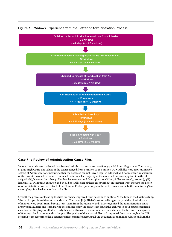

# Figure 10: Widows' Experience with the Letter of Administration Process

# **Case File Review of Administration Cause Files**

In total, the study team collected data from 96 administration cause case files: 59 at Mukono Magistrate's Court and 37 at Jinja High Court. The values of the estates ranged from 5 million to 500 million UGX. All files were applications for Letters of Administration, meaning either the deceased did not leave a legal will, the will did not mention an executor, or the executor named in the will rescinded their duty. The majority of the cases had only one applicant on the file (n  $= 64, 66.7\%)$ , however, the other 32 files had between two and five applicants. Of the 96 files reviewed, 7 estates (7.3%) had wills, all without an executor, and 89 did not. All seven of these cases without an executor went through the Letter of Administration process instead of the Grant of Probate process given the lack of an executor. In the baseline, 2.5% of cases  $(3/119)$  involved estates that had wills.

Overall, the process of locating the files for review improved from baseline to endline. At the time of the baseline study, "the hard copy file archives at both Mukono Court and Jinja High Court were disorganized, and the physical state of files was very poor." In mid-2013, a joint team from the judiciary and IJM re-organized the administration cause archives in Mukono and Jinja. During the endline study, the study team found the archives in both courts organized clearly according to year, all files clearly labeled with a court case number on the outside of the file, and the majority of files organized in order within the year. The quality of the physical files had improved from baseline, but the CFR research team recommended a stronger enforcement for keeping all the documentation in files. Additionally, in the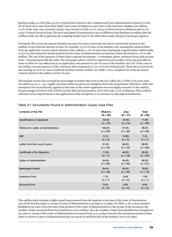baseline study, 42 of the files (35.3%) reviewed were found in the Computerized Case Administration System (CCAS), all of which were cases from Jinja High Court; none of Mukono's cases were in the electronic database. At endline, 71.9% of the total cases reviewed (69/96) were found in CCAS, 61.0% (36/59) of those found in Mukono and 89.2%  $(33/37)$  of those found in Jinja. The level and depth of systemization was so different from baseline to endline that the endline study was able to generate the sampling frame from CCAS rather than solely relying on hardcopy registers.

During the file review, documents deemed necessary for cases to proceed were more consistently present in the endline review than the baseline review. For example, 23.3% of cases in the baseline were missing the required letter from the applicant's Local Council, whereas at the endline, 11.5% of cases were missing the required letter. Additionally, 16.4% of cases lacked the formal petition for the Letter of Administration at baseline, which decreased to 1.0% in the endline. The rate of the presence of three other required documents—a newspaper advert, inventory form, and account form—remained generally the same. The newspaper advert, which is required to prove public notice was provided in order to allow for any objections to an application, was present in 79% of cases in the baseline and 76% of the cases in the endline. Second, presence of the inventory form remained at 1.0% or less for both periods. Third, the account form was missing in 100% of cases in both the baseline and the endline. See Table 21 for a complete list of the document contents found in the endline review of cases.

The baseline review also revealed the percentage of widows that went to the AG's office for a CONO to be more than one-third (34.5%, n = 40). Legally married widows are given an exemption from this requirement. Therefore, either the exemption was inconsistently applied at that time or the widow applicants were not legally married. In the endline, the percentage of widows with CONOs in their files had decreased to 26%, with only 11.9% in Mukono. This could be indicative of an improvement in the application of the exemption or an increase in marriage formalization.

| <b>Contents of the File</b>           | <b>Mukono</b> | Jinja      | Total      |
|---------------------------------------|---------------|------------|------------|
|                                       | $(N = 59)$    | $(N = 37)$ | $(N = 96)$ |
| Identification of Applicant           | 59.3%         | 91.9%      | 71.9%      |
|                                       | $(n = 35)$    | $(n = 34)$ | $(n = 69)$ |
| Petition for Letter of Administration | 100.0%        | 97.3%      | 99.0%      |
|                                       | $(n = 59)$    | $(n = 36)$ | $(n = 95)$ |
| Will                                  | 5.1%          | 10.8%      | 7.3%       |
|                                       | $(n = 3)$     | $(n = 4)$  | $(n = 7)$  |
| Letter from the Local Council         | 91.2%         | 89.2%      | 88.5%      |
|                                       | $(n = 52)$    | $(n = 33)$ | $(n = 85)$ |
| Certificate of No Objection           | 11.9%         | 48.6%      | 26.0%      |
|                                       | $(n = 7)$     | $(n = 18)$ | $(n = 25)$ |
| Letter of Administration              | 94.9%         | 94.6%      | 94.8%      |
|                                       | $(n = 56)$    | $(n = 35)$ | $(n = 91)$ |
| Newspaper Advert                      | 64.4%         | 94.6%      | 76.0%      |
|                                       | $(n = 38)$    | $(n = 35)$ | $(n = 73)$ |
| <b>Inventory Form</b>                 | 1.7%          | 0.0%       | 1.0%       |
|                                       | $(n = 1)$     | $(n = 0)$  | $(n = 1)$  |
| <b>Account Form</b>                   | 0.0%          | 0.0%       | 0.0%       |
|                                       | $(n = 0)$     | $(n = 0)$  | $(n = 0)$  |

# Table 21: Documents Found in Administration Cause Case Files

The endline study revealed a slight overall improvement from the baseline in the time of the Letter of Introduction (one of the first key steps) to receipt of Letter of Administration (236 days to 213 days). See Table 22 for a more detailed breakdown by court. From the time of the petition of the Letter of Administration to the receipt of the document, the number of days increased from 88 at baseline to 106 at endline. Also, the number of days from identification of applicant (at court) to receipt of the Letter of Administration increased from 34 to 55 days; however, the maximum amount of days taken to receive a Letter of Administration was cut nearly in half from that of the baseline (797 to 365 days).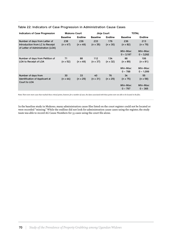| Table 22: Indicators of Case Progression in Administration Cause Cases |  |  |  |
|------------------------------------------------------------------------|--|--|--|
|------------------------------------------------------------------------|--|--|--|

| <b>Indicators of Case Progression</b>                                                                 | <b>Mukono Court</b><br>Jinja Court |                   |                   | <b>TOTAL</b>      |                                              |                                              |
|-------------------------------------------------------------------------------------------------------|------------------------------------|-------------------|-------------------|-------------------|----------------------------------------------|----------------------------------------------|
|                                                                                                       | <b>Baseline</b>                    | <b>Endline</b>    | <b>Baseline</b>   | <b>Endline</b>    | <b>Baseline</b>                              | <b>Endline</b>                               |
| Number of days from Letter of<br>Introduction from LC to Receipt<br>of Letter of Administration (LOA) | 238<br>$(n = 47)$                  | 236<br>$(n = 49)$ | 233<br>$(n = 35)$ | 176<br>$(n = 30)$ | 236<br>$(n = 82)$<br>Min-Max:<br>$0 - 3.187$ | 213<br>$(n = 79)$<br>Min-Max:<br>$0 - 3,262$ |
| Number of days from Petition of<br>LOA to Receipt of LOA                                              | 71<br>$(n = 52)$                   | 88<br>$(n = 49)$  | 112<br>$(n = 37)$ | 134<br>$(n = 32)$ | 88<br>$(n = 89)$<br>Min-Max:<br>$0 - 788$    | 106<br>$(n = 81)$<br>Min-Max:<br>$0 - 1,099$ |
| Number of days from<br>Identification of Applicant at<br>Court to LOA                                 | 30<br>$(n = 44)$                   | 33<br>$(n = 29)$  | 40<br>$(n = 31)$  | 76<br>$(n = 29)$  | 34<br>$(n = 75)$<br>Min-Max:<br>$0 - 797$    | 55<br>$(n = 58)$<br>Min-Max:<br>$0 - 365$    |

Note: *There were more cases that reached these critical points, however, for a number of cases, the dates associated with these points were not able to be located in the files.* 

In the baseline study in Mukono, many administration cause files listed on the court register could not be located or were recorded "missing." While the endline did not look for administration cause cases using the register, the study team was able to record AG Cause Numbers for 33 cases using the court file alone.